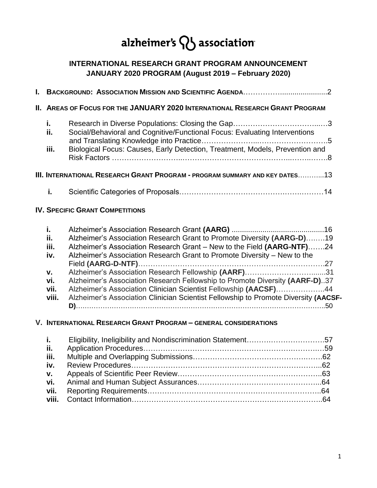# alzheimer's QJ association

## **INTERNATIONAL RESEARCH GRANT PROGRAM ANNOUNCEMENT JANUARY 2020 PROGRAM (August 2019 – February 2020)**

| II. AREAS OF FOCUS FOR THE JANUARY 2020 INTERNATIONAL RESEARCH GRANT PROGRAM |                                                                                                                                                                                                                                                                                                                                                                                                                                                                                                                                |  |  |  |  |  |
|------------------------------------------------------------------------------|--------------------------------------------------------------------------------------------------------------------------------------------------------------------------------------------------------------------------------------------------------------------------------------------------------------------------------------------------------------------------------------------------------------------------------------------------------------------------------------------------------------------------------|--|--|--|--|--|
| i.<br>ii.<br>iii.                                                            | Social/Behavioral and Cognitive/Functional Focus: Evaluating Interventions<br>Biological Focus: Causes, Early Detection, Treatment, Models, Prevention and                                                                                                                                                                                                                                                                                                                                                                     |  |  |  |  |  |
|                                                                              |                                                                                                                                                                                                                                                                                                                                                                                                                                                                                                                                |  |  |  |  |  |
|                                                                              | III. INTERNATIONAL RESEARCH GRANT PROGRAM - PROGRAM SUMMARY AND KEY DATES13                                                                                                                                                                                                                                                                                                                                                                                                                                                    |  |  |  |  |  |
| i.                                                                           |                                                                                                                                                                                                                                                                                                                                                                                                                                                                                                                                |  |  |  |  |  |
|                                                                              | <b>IV. SPECIFIC GRANT COMPETITIONS</b>                                                                                                                                                                                                                                                                                                                                                                                                                                                                                         |  |  |  |  |  |
| i.<br>ii.<br>iii.<br>iv.<br>v.<br>vi.<br>vii.<br>viii.                       | Alzheimer's Association Research Grant to Promote Diversity (AARG-D)19<br>Alzheimer's Association Research Grant - New to the Field (AARG-NTF)24<br>Alzheimer's Association Research Grant to Promote Diversity - New to the<br>Alzheimer's Association Research Fellowship (AARF)31<br>Alzheimer's Association Research Fellowship to Promote Diversity (AARF-D)37<br>Alzheimer's Association Clinician Scientist Fellowship (AACSF)44<br>Alzheimer's Association Clinician Scientist Fellowship to Promote Diversity (AACSF- |  |  |  |  |  |
|                                                                              | V. INTERNATIONAL RESEARCH GRANT PROGRAM - GENERAL CONSIDERATIONS                                                                                                                                                                                                                                                                                                                                                                                                                                                               |  |  |  |  |  |
| i.<br>ii.<br>iii.<br>iv.<br>v.<br>vi.<br>vii.                                |                                                                                                                                                                                                                                                                                                                                                                                                                                                                                                                                |  |  |  |  |  |

**viii.** Contact Information………………………………………………….………………..64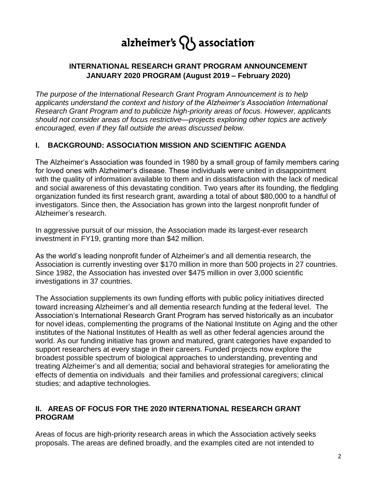## alzheimer's  $\{ \}$  association

## **INTERNATIONAL RESEARCH GRANT PROGRAM ANNOUNCEMENT JANUARY 2020 PROGRAM (August 2019 – February 2020)**

*The purpose of the International Research Grant Program Announcement is to help applicants understand the context and history of the Alzheimer's Association International Research Grant Program and to publicize high-priority areas of focus. However, applicants should not consider areas of focus restrictive—projects exploring other topics are actively encouraged, even if they fall outside the areas discussed below.* 

#### **I. BACKGROUND: ASSOCIATION MISSION AND SCIENTIFIC AGENDA**

The Alzheimer's Association was founded in 1980 by a small group of family members caring for loved ones with Alzheimer's disease. These individuals were united in disappointment with the quality of information available to them and in dissatisfaction with the lack of medical and social awareness of this devastating condition. Two years after its founding, the fledgling organization funded its first research grant, awarding a total of about \$80,000 to a handful of investigators. Since then, the Association has grown into the largest nonprofit funder of Alzheimer's research.

In aggressive pursuit of our mission, the Association made its largest-ever research investment in FY19, granting more than \$42 million.

As the world's leading nonprofit funder of Alzheimer's and all dementia research, the Association is currently investing over \$170 million in more than 500 projects in 27 countries. Since 1982, the Association has invested over \$475 million in over 3,000 scientific investigations in 37 countries.

The Association supplements its own funding efforts with public policy initiatives directed toward increasing Alzheimer's and all dementia research funding at the federal level. The Association's International Research Grant Program has served historically as an incubator for novel ideas, complementing the programs of the National Institute on Aging and the other institutes of the National Institutes of Health as well as other federal agencies around the world. As our funding initiative has grown and matured, grant categories have expanded to support researchers at every stage in their careers. Funded projects now explore the broadest possible spectrum of biological approaches to understanding, preventing and treating Alzheimer's and all dementia; social and behavioral strategies for ameliorating the effects of dementia on individuals and their families and professional caregivers; clinical studies; and adaptive technologies.

#### **II. AREAS OF FOCUS FOR THE 2020 INTERNATIONAL RESEARCH GRANT PROGRAM**

Areas of focus are high-priority research areas in which the Association actively seeks proposals. The areas are defined broadly, and the examples cited are not intended to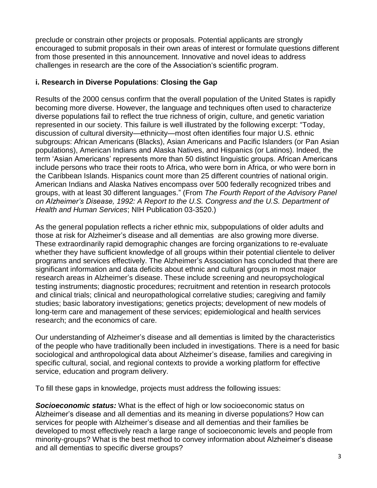preclude or constrain other projects or proposals. Potential applicants are strongly encouraged to submit proposals in their own areas of interest or formulate questions different from those presented in this announcement. Innovative and novel ideas to address challenges in research are the core of the Association's scientific program.

## **i. Research in Diverse Populations**: **Closing the Gap**

Results of the 2000 census confirm that the overall population of the United States is rapidly becoming more diverse. However, the language and techniques often used to characterize diverse populations fail to reflect the true richness of origin, culture, and genetic variation represented in our society. This failure is well illustrated by the following excerpt: "Today, discussion of cultural diversity—ethnicity—most often identifies four major U.S. ethnic subgroups: African Americans (Blacks), Asian Americans and Pacific Islanders (or Pan Asian populations), American Indians and Alaska Natives, and Hispanics (or Latinos). Indeed, the term 'Asian Americans' represents more than 50 distinct linguistic groups. African Americans include persons who trace their roots to Africa, who were born in Africa, or who were born in the Caribbean Islands. Hispanics count more than 25 different countries of national origin. American Indians and Alaska Natives encompass over 500 federally recognized tribes and groups, with at least 30 different languages." (From *The Fourth Report of the Advisory Panel on Alzheimer's Disease, 1992: A Report to the U.S. Congress and the U.S. Department of Health and Human Services*; NIH Publication 03-3520.)

As the general population reflects a richer ethnic mix, subpopulations of older adults and those at risk for Alzheimer's disease and all dementias are also growing more diverse. These extraordinarily rapid demographic changes are forcing organizations to re-evaluate whether they have sufficient knowledge of all groups within their potential clientele to deliver programs and services effectively. The Alzheimer's Association has concluded that there are significant information and data deficits about ethnic and cultural groups in most major research areas in Alzheimer's disease. These include screening and neuropsychological testing instruments; diagnostic procedures; recruitment and retention in research protocols and clinical trials; clinical and neuropathological correlative studies; caregiving and family studies; basic laboratory investigations; genetics projects; development of new models of long-term care and management of these services; epidemiological and health services research; and the economics of care.

Our understanding of Alzheimer's disease and all dementias is limited by the characteristics of the people who have traditionally been included in investigations. There is a need for basic sociological and anthropological data about Alzheimer's disease, families and caregiving in specific cultural, social, and regional contexts to provide a working platform for effective service, education and program delivery.

To fill these gaps in knowledge, projects must address the following issues:

*Socioeconomic status:* What is the effect of high or low socioeconomic status on Alzheimer's disease and all dementias and its meaning in diverse populations? How can services for people with Alzheimer's disease and all dementias and their families be developed to most effectively reach a large range of socioeconomic levels and people from minority-groups? What is the best method to convey information about Alzheimer's disease and all dementias to specific diverse groups?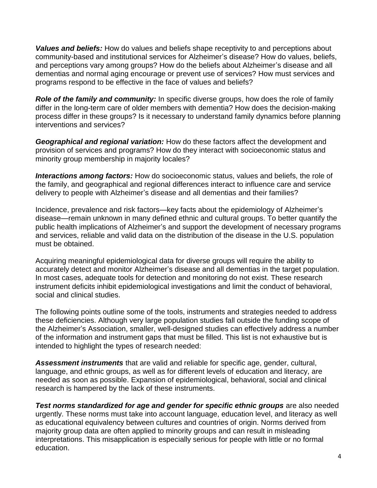*Values and beliefs:* How do values and beliefs shape receptivity to and perceptions about community-based and institutional services for Alzheimer's disease? How do values, beliefs, and perceptions vary among groups? How do the beliefs about Alzheimer's disease and all dementias and normal aging encourage or prevent use of services? How must services and programs respond to be effective in the face of values and beliefs?

*Role of the family and community:* In specific diverse groups, how does the role of family differ in the long-term care of older members with dementia? How does the decision-making process differ in these groups? Is it necessary to understand family dynamics before planning interventions and services?

*Geographical and regional variation:* How do these factors affect the development and provision of services and programs? How do they interact with socioeconomic status and minority group membership in majority locales?

*Interactions among factors:* How do socioeconomic status, values and beliefs, the role of the family, and geographical and regional differences interact to influence care and service delivery to people with Alzheimer's disease and all dementias and their families?

Incidence, prevalence and risk factors—key facts about the epidemiology of Alzheimer's disease—remain unknown in many defined ethnic and cultural groups. To better quantify the public health implications of Alzheimer's and support the development of necessary programs and services, reliable and valid data on the distribution of the disease in the U.S. population must be obtained.

Acquiring meaningful epidemiological data for diverse groups will require the ability to accurately detect and monitor Alzheimer's disease and all dementias in the target population. In most cases, adequate tools for detection and monitoring do not exist. These research instrument deficits inhibit epidemiological investigations and limit the conduct of behavioral, social and clinical studies.

The following points outline some of the tools, instruments and strategies needed to address these deficiencies. Although very large population studies fall outside the funding scope of the Alzheimer's Association, smaller, well-designed studies can effectively address a number of the information and instrument gaps that must be filled. This list is not exhaustive but is intended to highlight the types of research needed:

*Assessment instruments* that are valid and reliable for specific age, gender, cultural, language, and ethnic groups, as well as for different levels of education and literacy, are needed as soon as possible. Expansion of epidemiological, behavioral, social and clinical research is hampered by the lack of these instruments.

**Test norms standardized for age and gender for specific ethnic groups** are also needed urgently. These norms must take into account language, education level, and literacy as well as educational equivalency between cultures and countries of origin. Norms derived from majority group data are often applied to minority groups and can result in misleading interpretations. This misapplication is especially serious for people with little or no formal education.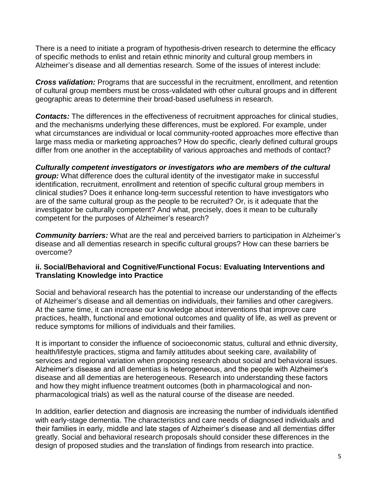There is a need to initiate a program of hypothesis-driven research to determine the efficacy of specific methods to enlist and retain ethnic minority and cultural group members in Alzheimer's disease and all dementias research. Some of the issues of interest include:

*Cross validation:* Programs that are successful in the recruitment, enrollment, and retention of cultural group members must be cross-validated with other cultural groups and in different geographic areas to determine their broad-based usefulness in research.

*Contacts:* The differences in the effectiveness of recruitment approaches for clinical studies, and the mechanisms underlying these differences, must be explored. For example, under what circumstances are individual or local community-rooted approaches more effective than large mass media or marketing approaches? How do specific, clearly defined cultural groups differ from one another in the acceptability of various approaches and methods of contact?

*Culturally competent investigators or investigators who are members of the cultural group:* What difference does the cultural identity of the investigator make in successful identification, recruitment, enrollment and retention of specific cultural group members in clinical studies? Does it enhance long-term successful retention to have investigators who are of the same cultural group as the people to be recruited? Or, is it adequate that the investigator be culturally competent? And what, precisely, does it mean to be culturally competent for the purposes of Alzheimer's research?

*Community barriers:* What are the real and perceived barriers to participation in Alzheimer's disease and all dementias research in specific cultural groups? How can these barriers be overcome?

#### **ii. Social/Behavioral and Cognitive/Functional Focus: Evaluating Interventions and Translating Knowledge into Practice**

Social and behavioral research has the potential to increase our understanding of the effects of Alzheimer's disease and all dementias on individuals, their families and other caregivers. At the same time, it can increase our knowledge about interventions that improve care practices, health, functional and emotional outcomes and quality of life, as well as prevent or reduce symptoms for millions of individuals and their families.

It is important to consider the influence of socioeconomic status, cultural and ethnic diversity, health/lifestyle practices, stigma and family attitudes about seeking care, availability of services and regional variation when proposing research about social and behavioral issues. Alzheimer's disease and all dementias is heterogeneous, and the people with Alzheimer's disease and all dementias are heterogeneous. Research into understanding these factors and how they might influence treatment outcomes (both in pharmacological and nonpharmacological trials) as well as the natural course of the disease are needed.

In addition, earlier detection and diagnosis are increasing the number of individuals identified with early-stage dementia. The characteristics and care needs of diagnosed individuals and their families in early, middle and late stages of Alzheimer's disease and all dementias differ greatly. Social and behavioral research proposals should consider these differences in the design of proposed studies and the translation of findings from research into practice.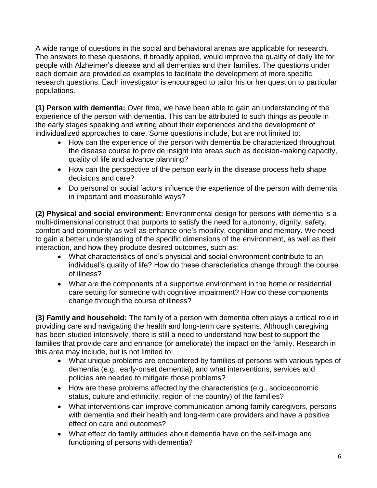A wide range of questions in the social and behavioral arenas are applicable for research. The answers to these questions, if broadly applied, would improve the quality of daily life for people with Alzheimer's disease and all dementias and their families. The questions under each domain are provided as examples to facilitate the development of more specific research questions. Each investigator is encouraged to tailor his or her question to particular populations.

**(1) Person with dementia:** Over time, we have been able to gain an understanding of the experience of the person with dementia. This can be attributed to such things as people in the early stages speaking and writing about their experiences and the development of individualized approaches to care. Some questions include, but are not limited to:

- How can the experience of the person with dementia be characterized throughout the disease course to provide insight into areas such as decision-making capacity, quality of life and advance planning?
- How can the perspective of the person early in the disease process help shape decisions and care?
- Do personal or social factors influence the experience of the person with dementia in important and measurable ways?

**(2) Physical and social environment:** Environmental design for persons with dementia is a multi-dimensional construct that purports to satisfy the need for autonomy, dignity, safety, comfort and community as well as enhance one's mobility, cognition and memory. We need to gain a better understanding of the specific dimensions of the environment, as well as their interaction, and how they produce desired outcomes, such as:

- What characteristics of one's physical and social environment contribute to an individual's quality of life? How do these characteristics change through the course of illness?
- What are the components of a supportive environment in the home or residential care setting for someone with cognitive impairment? How do these components change through the course of illness?

**(3) Family and household:** The family of a person with dementia often plays a critical role in providing care and navigating the health and long-term care systems. Although caregiving has been studied intensively, there is still a need to understand how best to support the families that provide care and enhance (or ameliorate) the impact on the family. Research in this area may include, but is not limited to:

- What unique problems are encountered by families of persons with various types of dementia (e.g., early-onset dementia), and what interventions, services and policies are needed to mitigate those problems?
- How are these problems affected by the characteristics (e.g., socioeconomic status, culture and ethnicity, region of the country) of the families?
- What interventions can improve communication among family caregivers, persons with dementia and their health and long-term care providers and have a positive effect on care and outcomes?
- What effect do family attitudes about dementia have on the self-image and functioning of persons with dementia?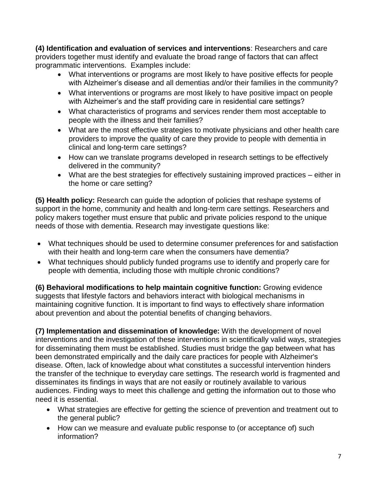**(4) Identification and evaluation of services and interventions**: Researchers and care providers together must identify and evaluate the broad range of factors that can affect programmatic interventions. Examples include:

- What interventions or programs are most likely to have positive effects for people with Alzheimer's disease and all dementias and/or their families in the community?
- What interventions or programs are most likely to have positive impact on people with Alzheimer's and the staff providing care in residential care settings?
- What characteristics of programs and services render them most acceptable to people with the illness and their families?
- What are the most effective strategies to motivate physicians and other health care providers to improve the quality of care they provide to people with dementia in clinical and long-term care settings?
- How can we translate programs developed in research settings to be effectively delivered in the community?
- What are the best strategies for effectively sustaining improved practices either in the home or care setting?

**(5) Health policy:** Research can guide the adoption of policies that reshape systems of support in the home, community and health and long-term care settings. Researchers and policy makers together must ensure that public and private policies respond to the unique needs of those with dementia. Research may investigate questions like:

- What techniques should be used to determine consumer preferences for and satisfaction with their health and long-term care when the consumers have dementia?
- What techniques should publicly funded programs use to identify and properly care for people with dementia, including those with multiple chronic conditions?

**(6) Behavioral modifications to help maintain cognitive function:** Growing evidence suggests that lifestyle factors and behaviors interact with biological mechanisms in maintaining cognitive function. It is important to find ways to effectively share information about prevention and about the potential benefits of changing behaviors.

**(7) Implementation and dissemination of knowledge:** With the development of novel interventions and the investigation of these interventions in scientifically valid ways, strategies for disseminating them must be established. Studies must bridge the gap between what has been demonstrated empirically and the daily care practices for people with Alzheimer's disease. Often, lack of knowledge about what constitutes a successful intervention hinders the transfer of the technique to everyday care settings. The research world is fragmented and disseminates its findings in ways that are not easily or routinely available to various audiences. Finding ways to meet this challenge and getting the information out to those who need it is essential.

- What strategies are effective for getting the science of prevention and treatment out to the general public?
- How can we measure and evaluate public response to (or acceptance of) such information?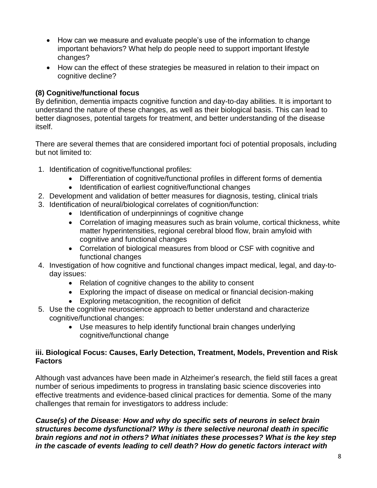- How can we measure and evaluate people's use of the information to change important behaviors? What help do people need to support important lifestyle changes?
- How can the effect of these strategies be measured in relation to their impact on cognitive decline?

## **(8) Cognitive/functional focus**

By definition, dementia impacts cognitive function and day-to-day abilities. It is important to understand the nature of these changes, as well as their biological basis. This can lead to better diagnoses, potential targets for treatment, and better understanding of the disease itself.

There are several themes that are considered important foci of potential proposals, including but not limited to:

- 1. Identification of cognitive/functional profiles:
	- Differentiation of cognitive/functional profiles in different forms of dementia
	- Identification of earliest cognitive/functional changes
- 2. Development and validation of better measures for diagnosis, testing, clinical trials
- 3. Identification of neural/biological correlates of cognition/function:
	- Identification of underpinnings of cognitive change
	- Correlation of imaging measures such as brain volume, cortical thickness, white matter hyperintensities, regional cerebral blood flow, brain amyloid with cognitive and functional changes
	- Correlation of biological measures from blood or CSF with cognitive and functional changes
- 4. Investigation of how cognitive and functional changes impact medical, legal, and day-today issues:
	- Relation of cognitive changes to the ability to consent
	- Exploring the impact of disease on medical or financial decision-making
	- Exploring metacognition, the recognition of deficit
- 5. Use the cognitive neuroscience approach to better understand and characterize cognitive/functional changes:
	- Use measures to help identify functional brain changes underlying cognitive/functional change

## **iii. Biological Focus: Causes, Early Detection, Treatment, Models, Prevention and Risk Factors**

Although vast advances have been made in Alzheimer's research, the field still faces a great number of serious impediments to progress in translating basic science discoveries into effective treatments and evidence-based clinical practices for dementia. Some of the many challenges that remain for investigators to address include:

*Cause(s) of the Disease: How and why do specific sets of neurons in select brain structures become dysfunctional? Why is there selective neuronal death in specific brain regions and not in others? What initiates these processes? What is the key step in the cascade of events leading to cell death? How do genetic factors interact with*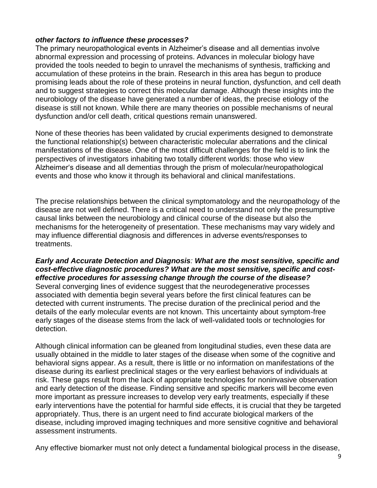#### *other factors to influence these processes?*

The primary neuropathological events in Alzheimer's disease and all dementias involve abnormal expression and processing of proteins. Advances in molecular biology have provided the tools needed to begin to unravel the mechanisms of synthesis, trafficking and accumulation of these proteins in the brain. Research in this area has begun to produce promising leads about the role of these proteins in neural function, dysfunction, and cell death and to suggest strategies to correct this molecular damage. Although these insights into the neurobiology of the disease have generated a number of ideas, the precise etiology of the disease is still not known. While there are many theories on possible mechanisms of neural dysfunction and/or cell death, critical questions remain unanswered.

None of these theories has been validated by crucial experiments designed to demonstrate the functional relationship(s) between characteristic molecular aberrations and the clinical manifestations of the disease. One of the most difficult challenges for the field is to link the perspectives of investigators inhabiting two totally different worlds: those who view Alzheimer's disease and all dementias through the prism of molecular/neuropathological events and those who know it through its behavioral and clinical manifestations.

The precise relationships between the clinical symptomatology and the neuropathology of the disease are not well defined. There is a critical need to understand not only the presumptive causal links between the neurobiology and clinical course of the disease but also the mechanisms for the heterogeneity of presentation. These mechanisms may vary widely and may influence differential diagnosis and differences in adverse events/responses to treatments.

#### *Early and Accurate Detection and Diagnosis: What are the most sensitive, specific and cost-effective diagnostic procedures? What are the most sensitive, specific and costeffective procedures for assessing change through the course of the disease?*  Several converging lines of evidence suggest that the neurodegenerative processes associated with dementia begin several years before the first clinical features can be detected with current instruments. The precise duration of the preclinical period and the details of the early molecular events are not known. This uncertainty about symptom-free early stages of the disease stems from the lack of well-validated tools or technologies for detection.

Although clinical information can be gleaned from longitudinal studies, even these data are usually obtained in the middle to later stages of the disease when some of the cognitive and behavioral signs appear. As a result, there is little or no information on manifestations of the disease during its earliest preclinical stages or the very earliest behaviors of individuals at risk. These gaps result from the lack of appropriate technologies for noninvasive observation and early detection of the disease. Finding sensitive and specific markers will become even more important as pressure increases to develop very early treatments, especially if these early interventions have the potential for harmful side effects, it is crucial that they be targeted appropriately. Thus, there is an urgent need to find accurate biological markers of the disease, including improved imaging techniques and more sensitive cognitive and behavioral assessment instruments.

Any effective biomarker must not only detect a fundamental biological process in the disease,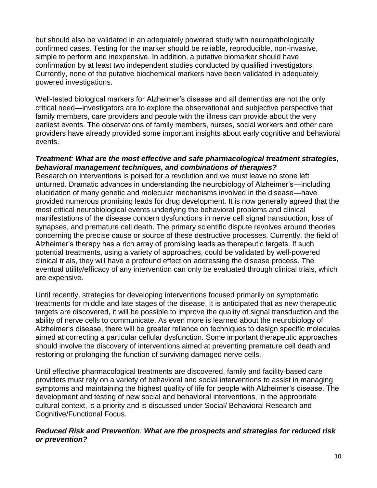but should also be validated in an adequately powered study with neuropathologically confirmed cases. Testing for the marker should be reliable, reproducible, non-invasive, simple to perform and inexpensive. In addition, a putative biomarker should have confirmation by at least two independent studies conducted by qualified investigators. Currently, none of the putative biochemical markers have been validated in adequately powered investigations.

Well-tested biological markers for Alzheimer's disease and all dementias are not the only critical need—investigators are to explore the observational and subjective perspective that family members, care providers and people with the illness can provide about the very earliest events. The observations of family members, nurses, social workers and other care providers have already provided some important insights about early cognitive and behavioral events.

#### *Treatment: What are the most effective and safe pharmacological treatment strategies, behavioral management techniques, and combinations of therapies?*

Research on interventions is poised for a revolution and we must leave no stone left unturned. Dramatic advances in understanding the neurobiology of Alzheimer's—including elucidation of many genetic and molecular mechanisms involved in the disease—have provided numerous promising leads for drug development. It is now generally agreed that the most critical neurobiological events underlying the behavioral problems and clinical manifestations of the disease concern dysfunctions in nerve cell signal transduction, loss of synapses, and premature cell death. The primary scientific dispute revolves around theories concerning the precise cause or source of these destructive processes. Currently, the field of Alzheimer's therapy has a rich array of promising leads as therapeutic targets. If such potential treatments, using a variety of approaches, could be validated by well-powered clinical trials, they will have a profound effect on addressing the disease process. The eventual utility/efficacy of any intervention can only be evaluated through clinical trials, which are expensive.

Until recently, strategies for developing interventions focused primarily on symptomatic treatments for middle and late stages of the disease. It is anticipated that as new therapeutic targets are discovered, it will be possible to improve the quality of signal transduction and the ability of nerve cells to communicate. As even more is learned about the neurobiology of Alzheimer's disease, there will be greater reliance on techniques to design specific molecules aimed at correcting a particular cellular dysfunction. Some important therapeutic approaches should involve the discovery of interventions aimed at preventing premature cell death and restoring or prolonging the function of surviving damaged nerve cells.

Until effective pharmacological treatments are discovered, family and facility-based care providers must rely on a variety of behavioral and social interventions to assist in managing symptoms and maintaining the highest quality of life for people with Alzheimer's disease. The development and testing of new social and behavioral interventions, in the appropriate cultural context, is a priority and is discussed under Social/ Behavioral Research and Cognitive/Functional Focus.

#### *Reduced Risk and Prevention: What are the prospects and strategies for reduced risk or prevention?*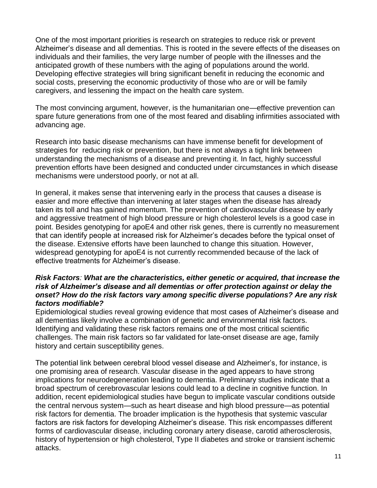One of the most important priorities is research on strategies to reduce risk or prevent Alzheimer's disease and all dementias. This is rooted in the severe effects of the diseases on individuals and their families, the very large number of people with the illnesses and the anticipated growth of these numbers with the aging of populations around the world. Developing effective strategies will bring significant benefit in reducing the economic and social costs, preserving the economic productivity of those who are or will be family caregivers, and lessening the impact on the health care system.

The most convincing argument, however, is the humanitarian one—effective prevention can spare future generations from one of the most feared and disabling infirmities associated with advancing age.

Research into basic disease mechanisms can have immense benefit for development of strategies for reducing risk or prevention, but there is not always a tight link between understanding the mechanisms of a disease and preventing it. In fact, highly successful prevention efforts have been designed and conducted under circumstances in which disease mechanisms were understood poorly, or not at all.

In general, it makes sense that intervening early in the process that causes a disease is easier and more effective than intervening at later stages when the disease has already taken its toll and has gained momentum. The prevention of cardiovascular disease by early and aggressive treatment of high blood pressure or high cholesterol levels is a good case in point. Besides genotyping for apoE4 and other risk genes, there is currently no measurement that can identify people at increased risk for Alzheimer's decades before the typical onset of the disease. Extensive efforts have been launched to change this situation. However, widespread genotyping for apoE4 is not currently recommended because of the lack of effective treatments for Alzheimer's disease.

#### *Risk Factors: What are the characteristics, either genetic or acquired, that increase the risk of Alzheimer's disease and all dementias or offer protection against or delay the onset? How do the risk factors vary among specific diverse populations? Are any risk factors modifiable?*

Epidemiological studies reveal growing evidence that most cases of Alzheimer's disease and all dementias likely involve a combination of genetic and environmental risk factors. Identifying and validating these risk factors remains one of the most critical scientific challenges. The main risk factors so far validated for late-onset disease are age, family history and certain susceptibility genes.

The potential link between cerebral blood vessel disease and Alzheimer's, for instance, is one promising area of research. Vascular disease in the aged appears to have strong implications for neurodegeneration leading to dementia. Preliminary studies indicate that a broad spectrum of cerebrovascular lesions could lead to a decline in cognitive function. In addition, recent epidemiological studies have begun to implicate vascular conditions outside the central nervous system—such as heart disease and high blood pressure—as potential risk factors for dementia. The broader implication is the hypothesis that systemic vascular factors are risk factors for developing Alzheimer's disease. This risk encompasses different forms of cardiovascular disease, including coronary artery disease, carotid atherosclerosis, history of hypertension or high cholesterol, Type II diabetes and stroke or transient ischemic attacks.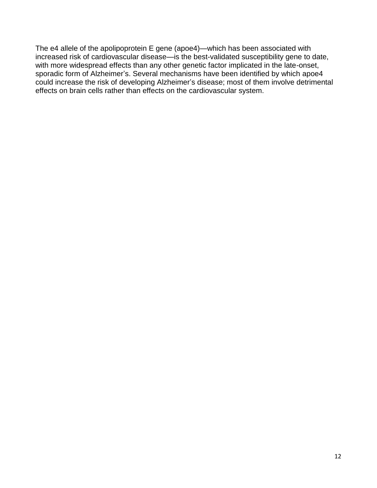The e4 allele of the apolipoprotein E gene (apoe4)—which has been associated with increased risk of cardiovascular disease—is the best-validated susceptibility gene to date, with more widespread effects than any other genetic factor implicated in the late-onset, sporadic form of Alzheimer's. Several mechanisms have been identified by which apoe4 could increase the risk of developing Alzheimer's disease; most of them involve detrimental effects on brain cells rather than effects on the cardiovascular system.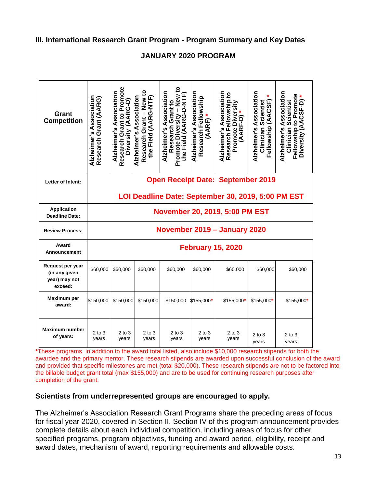#### **III. International Research Grant Program - Program Summary and Key Dates**

#### **JANUARY 2020 PROGRAM**

| Grant<br><b>Competition</b>                                   | Association<br>Research Grant (AARG)<br>s)<br>Alzheimer' | Research Grant to Promote<br>Alzheimer's Association<br>(AARG-D<br>Diversity | Research Grant - New to<br>Association<br>the Field (AARG-NTF)<br>Alzheimer's | New to<br>Alzheimer's Association<br>Field (AARG-D-NTF)<br>Research Grant to<br>$\mathbf{I}$<br>Promote Diversity<br>the I | Alzheimer's Association<br>Research Fellowship<br>(AARF) | Alzheimer's Association<br>Research Fellowship to<br>Promote Diversity<br>(AARF-D) * | Alzheimer's Association<br>Fellowship (AACSF)<br><b>Clinician Scientist</b> | Alzheimer's Association<br>Fellowship to Promote<br><b>Scientist</b><br>Clinician<br>Diversity |  |
|---------------------------------------------------------------|----------------------------------------------------------|------------------------------------------------------------------------------|-------------------------------------------------------------------------------|----------------------------------------------------------------------------------------------------------------------------|----------------------------------------------------------|--------------------------------------------------------------------------------------|-----------------------------------------------------------------------------|------------------------------------------------------------------------------------------------|--|
| Letter of Intent:                                             | <b>Open Receipt Date: September 2019</b>                 |                                                                              |                                                                               |                                                                                                                            |                                                          |                                                                                      |                                                                             |                                                                                                |  |
|                                                               | LOI Deadline Date: September 30, 2019, 5:00 PM EST       |                                                                              |                                                                               |                                                                                                                            |                                                          |                                                                                      |                                                                             |                                                                                                |  |
| <b>Application</b><br><b>Deadline Date:</b>                   | November 20, 2019, 5:00 PM EST                           |                                                                              |                                                                               |                                                                                                                            |                                                          |                                                                                      |                                                                             |                                                                                                |  |
| <b>Review Process:</b>                                        | November 2019 - January 2020                             |                                                                              |                                                                               |                                                                                                                            |                                                          |                                                                                      |                                                                             |                                                                                                |  |
| Award<br>Announcement                                         | <b>February 15, 2020</b>                                 |                                                                              |                                                                               |                                                                                                                            |                                                          |                                                                                      |                                                                             |                                                                                                |  |
| Request per year<br>(in any given<br>year) may not<br>exceed: | \$60,000                                                 | \$60,000                                                                     | \$60,000                                                                      | \$60,000                                                                                                                   | \$60,000                                                 | \$60,000                                                                             | \$60,000                                                                    | \$60,000                                                                                       |  |
| <b>Maximum per</b><br>award:                                  | \$150,000                                                | \$150,000                                                                    | \$150,000                                                                     | \$150,000                                                                                                                  | \$155,000*                                               | $$155,000*$                                                                          | $$155,000*$                                                                 | $$155,000*$                                                                                    |  |
| <b>Maximum number</b><br>of years:                            | 2 to 3<br>years                                          | 2 to 3<br>years                                                              | 2 to 3<br>years                                                               | $2$ to $3$<br>years                                                                                                        | 2 to 3<br>years                                          | 2 to 3<br>years                                                                      | $2$ to $3$<br>years                                                         | 2 to 3<br>years                                                                                |  |

**\***These programs, in addition to the award total listed, also include \$10,000 research stipends for both the awardee and the primary mentor. These research stipends are awarded upon successful conclusion of the award and provided that specific milestones are met (total \$20,000). These research stipends are not to be factored into the billable budget grant total (max \$155,000) and are to be used for continuing research purposes after completion of the grant.

#### **Scientists from underrepresented groups are encouraged to apply.**

The Alzheimer's Association Research Grant Programs share the preceding areas of focus for fiscal year 2020, covered in Section II. Section IV of this program announcement provides complete details about each individual competition, including areas of focus for other specified programs, program objectives, funding and award period, eligibility, receipt and award dates, mechanism of award, reporting requirements and allowable costs.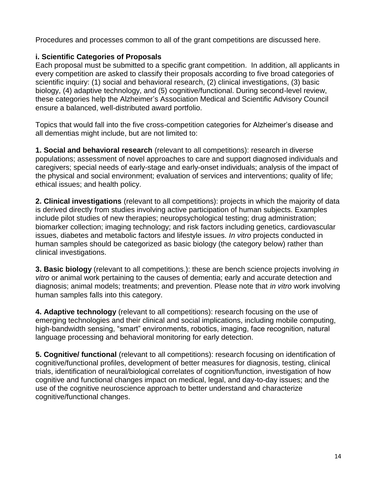Procedures and processes common to all of the grant competitions are discussed here.

## **i. Scientific Categories of Proposals**

Each proposal must be submitted to a specific grant competition. In addition, all applicants in every competition are asked to classify their proposals according to five broad categories of scientific inquiry: (1) social and behavioral research, (2) clinical investigations, (3) basic biology, (4) adaptive technology, and (5) cognitive/functional. During second-level review, these categories help the Alzheimer's Association Medical and Scientific Advisory Council ensure a balanced, well-distributed award portfolio.

Topics that would fall into the five cross-competition categories for Alzheimer's disease and all dementias might include, but are not limited to:

**1. Social and behavioral research** (relevant to all competitions): research in diverse populations; assessment of novel approaches to care and support diagnosed individuals and caregivers; special needs of early-stage and early-onset individuals; analysis of the impact of the physical and social environment; evaluation of services and interventions; quality of life; ethical issues; and health policy.

**2. Clinical investigations** (relevant to all competitions): projects in which the majority of data is derived directly from studies involving active participation of human subjects. Examples include pilot studies of new therapies; neuropsychological testing; drug administration; biomarker collection; imaging technology; and risk factors including genetics, cardiovascular issues, diabetes and metabolic factors and lifestyle issues. *In vitro* projects conducted in human samples should be categorized as basic biology (the category below) rather than clinical investigations.

**3. Basic biology** (relevant to all competitions.): these are bench science projects involving *in vitro* or animal work pertaining to the causes of dementia; early and accurate detection and diagnosis; animal models; treatments; and prevention. Please note that *in vitro* work involving human samples falls into this category.

**4. Adaptive technology** (relevant to all competitions): research focusing on the use of emerging technologies and their clinical and social implications, including mobile computing, high-bandwidth sensing, "smart" environments, robotics, imaging, face recognition, natural language processing and behavioral monitoring for early detection.

**5. Cognitive/ functional** (relevant to all competitions): research focusing on identification of cognitive/functional profiles, development of better measures for diagnosis, testing, clinical trials, identification of neural/biological correlates of cognition/function, investigation of how cognitive and functional changes impact on medical, legal, and day-to-day issues; and the use of the cognitive neuroscience approach to better understand and characterize cognitive/functional changes.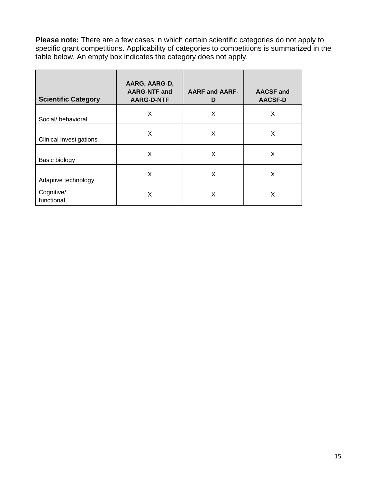**Please note:** There are a few cases in which certain scientific categories do not apply to specific grant competitions. Applicability of categories to competitions is summarized in the table below. An empty box indicates the category does not apply.

| <b>Scientific Category</b>     | AARG, AARG-D,<br><b>AARG-NTF and</b><br><b>AARG-D-NTF</b> | <b>AARF and AARF-</b><br>D | <b>AACSF and</b><br><b>AACSF-D</b> |
|--------------------------------|-----------------------------------------------------------|----------------------------|------------------------------------|
| Social/ behavioral             | X                                                         | X                          | X                                  |
| <b>Clinical investigations</b> | X                                                         | X                          | Χ                                  |
| Basic biology                  | X                                                         | X                          | X                                  |
| Adaptive technology            | X                                                         | X                          | X                                  |
| Cognitive/<br>functional       | X                                                         | X                          | Х                                  |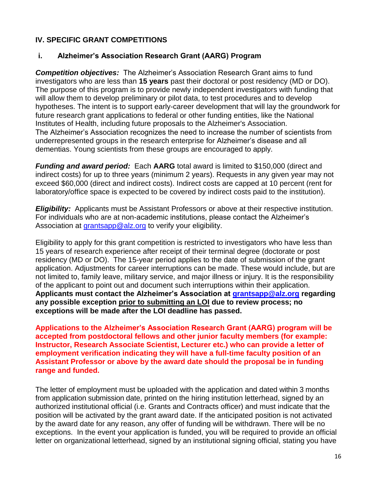#### **IV. SPECIFIC GRANT COMPETITIONS**

#### **i. Alzheimer's Association Research Grant (AARG) Program**

*Competition objectives:* The Alzheimer's Association Research Grant aims to fund investigators who are less than **15 years** past their doctoral or post residency (MD or DO). The purpose of this program is to provide newly independent investigators with funding that will allow them to develop preliminary or pilot data, to test procedures and to develop hypotheses. The intent is to support early-career development that will lay the groundwork for future research grant applications to federal or other funding entities, like the National Institutes of Health, including future proposals to the Alzheimer's Association. The Alzheimer's Association recognizes the need to increase the number of scientists from underrepresented groups in the research enterprise for Alzheimer's disease and all dementias. Young scientists from these groups are encouraged to apply.

*Funding and award period:* Each AARG total award is limited to \$150,000 (direct and indirect costs) for up to three years (minimum 2 years). Requests in any given year may not exceed \$60,000 (direct and indirect costs). Indirect costs are capped at 10 percent (rent for laboratory/office space is expected to be covered by indirect costs paid to the institution).

**Eligibility:** Applicants must be Assistant Professors or above at their respective institution. For individuals who are at non-academic institutions, please contact the Alzheimer's Association at [grantsapp@alz.org](mailto:grantsapp@alz.org) to verify your eligibility.

Eligibility to apply for this grant competition is restricted to investigators who have less than 15 years of research experience after receipt of their terminal degree (doctorate or post residency (MD or DO). The 15-year period applies to the date of submission of the grant application. Adjustments for career interruptions can be made. These would include, but are not limited to, family leave, military service, and major illness or injury. It is the responsibility of the applicant to point out and document such interruptions within their application. **Applicants must contact the Alzheimer's Association at [grantsapp@alz.org](mailto:grantsapp@alz.org) regarding any possible exception prior to submitting an LOI due to review process; no exceptions will be made after the LOI deadline has passed.** 

**Applications to the Alzheimer's Association Research Grant (AARG) program will be accepted from postdoctoral fellows and other junior faculty members (for example: Instructor, Research Associate Scientist, Lecturer etc.) who can provide a letter of employment verification indicating they will have a full-time faculty position of an Assistant Professor or above by the award date should the proposal be in funding range and funded.** 

The letter of employment must be uploaded with the application and dated within 3 months from application submission date, printed on the hiring institution letterhead, signed by an authorized institutional official (i.e. Grants and Contracts officer) and must indicate that the position will be activated by the grant award date. If the anticipated position is not activated by the award date for any reason, any offer of funding will be withdrawn. There will be no exceptions. In the event your application is funded, you will be required to provide an official letter on organizational letterhead, signed by an institutional signing official, stating you have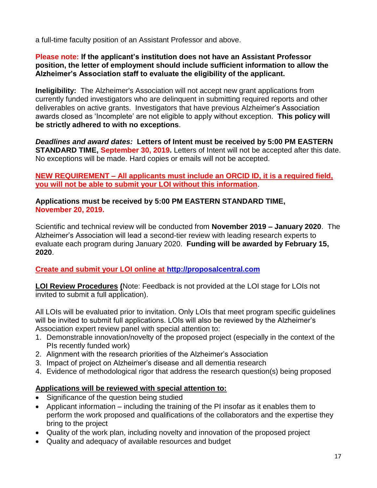a full-time faculty position of an Assistant Professor and above.

#### **Please note: If the applicant's institution does not have an Assistant Professor position, the letter of employment should include sufficient information to allow the Alzheimer's Association staff to evaluate the eligibility of the applicant.**

**Ineligibility:** The Alzheimer's Association will not accept new grant applications from currently funded investigators who are delinquent in submitting required reports and other deliverables on active grants. Investigators that have previous Alzheimer's Association awards closed as 'Incomplete' are not eligible to apply without exception. **This policy will be strictly adhered to with no exceptions**.

*Deadlines and award dates:* **Letters of Intent must be received by 5:00 PM EASTERN STANDARD TIME, September 30, 2019.** Letters of Intent will not be accepted after this date. No exceptions will be made. Hard copies or emails will not be accepted.

**NEW REQUIREMENT – All applicants must include an ORCID ID, it is a required field, you will not be able to submit your LOI without this information**.

#### **Applications must be received by 5:00 PM EASTERN STANDARD TIME, November 20, 2019.**

Scientific and technical review will be conducted from **November 2019 – January 2020**. The Alzheimer's Association will lead a second-tier review with leading research experts to evaluate each program during January 2020. **Funding will be awarded by February 15, 2020**.

#### **Create and submit your LOI online at [http://proposalcentral.com](http://proposalcentral.com/)**

**LOI Review Procedures (**Note: Feedback is not provided at the LOI stage for LOIs not invited to submit a full application).

All LOIs will be evaluated prior to invitation. Only LOIs that meet program specific guidelines will be invited to submit full applications. LOIs will also be reviewed by the Alzheimer's Association expert review panel with special attention to:

- 1. Demonstrable innovation/novelty of the proposed project (especially in the context of the PIs recently funded work)
- 2. Alignment with the research priorities of the Alzheimer's Association
- 3. Impact of project on Alzheimer's disease and all dementia research
- 4. Evidence of methodological rigor that address the research question(s) being proposed

#### **Applications will be reviewed with special attention to:**

- Significance of the question being studied
- Applicant information including the training of the PI insofar as it enables them to perform the work proposed and qualifications of the collaborators and the expertise they bring to the project
- Quality of the work plan, including novelty and innovation of the proposed project
- Quality and adequacy of available resources and budget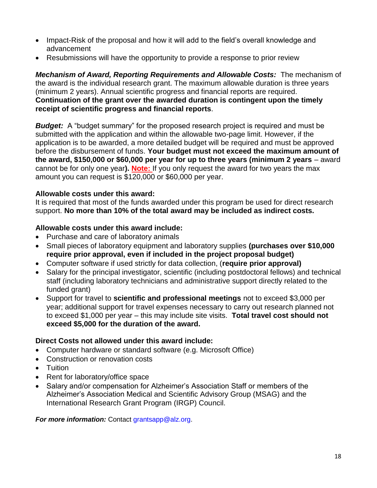- Impact-Risk of the proposal and how it will add to the field's overall knowledge and advancement
- Resubmissions will have the opportunity to provide a response to prior review

*Mechanism of Award, Reporting Requirements and Allowable Costs:* The mechanism of the award is the individual research grant. The maximum allowable duration is three years (minimum 2 years). Annual scientific progress and financial reports are required. **Continuation of the grant over the awarded duration is contingent upon the timely receipt of scientific progress and financial reports**.

*Budget:* A "budget summary" for the proposed research project is required and must be submitted with the application and within the allowable two-page limit. However, if the application is to be awarded, a more detailed budget will be required and must be approved before the disbursement of funds. **Your budget must not exceed the maximum amount of the award, \$150,000 or \$60,000 per year for up to three years (minimum 2 years** – award cannot be for only one year**). Note:** If you only request the award for two years the max amount you can request is \$120,000 or \$60,000 per year.

#### **Allowable costs under this award:**

It is required that most of the funds awarded under this program be used for direct research support. **No more than 10% of the total award may be included as indirect costs.**

#### **Allowable costs under this award include:**

- Purchase and care of laboratory animals
- Small pieces of laboratory equipment and laboratory supplies **(purchases over \$10,000 require prior approval, even if included in the project proposal budget)**
- Computer software if used strictly for data collection, (**require prior approval)**
- Salary for the principal investigator, scientific (including postdoctoral fellows) and technical staff (including laboratory technicians and administrative support directly related to the funded grant)
- Support for travel to **scientific and professional meetings** not to exceed \$3,000 per year; additional support for travel expenses necessary to carry out research planned not to exceed \$1,000 per year – this may include site visits. **Total travel cost should not exceed \$5,000 for the duration of the award.**

#### **Direct Costs not allowed under this award include:**

- Computer hardware or standard software (e.g. Microsoft Office)
- Construction or renovation costs
- Tuition
- Rent for laboratory/office space
- Salary and/or compensation for Alzheimer's Association Staff or members of the Alzheimer's Association Medical and Scientific Advisory Group (MSAG) and the International Research Grant Program (IRGP) Council.

*For more information:* Contact [grantsapp@alz.org.](mailto:grantsapp@alz.org)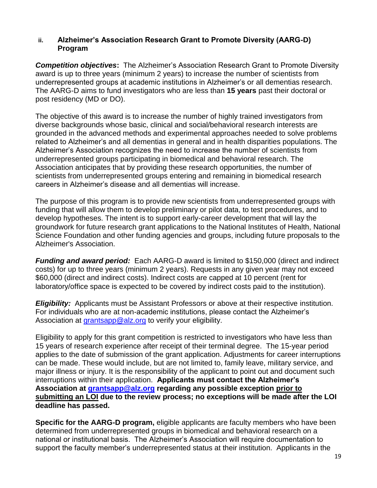#### **ii. Alzheimer's Association Research Grant to Promote Diversity (AARG-D) Program**

*Competition objectives***:** The Alzheimer's Association Research Grant to Promote Diversity award is up to three years (minimum 2 years) to increase the number of scientists from underrepresented groups at academic institutions in Alzheimer's or all dementias research. The AARG-D aims to fund investigators who are less than **15 years** past their doctoral or post residency (MD or DO).

The objective of this award is to increase the number of highly trained investigators from diverse backgrounds whose basic, clinical and social/behavioral research interests are grounded in the advanced methods and experimental approaches needed to solve problems related to Alzheimer's and all dementias in general and in health disparities populations. The Alzheimer's Association recognizes the need to increase the number of scientists from underrepresented groups participating in biomedical and behavioral research. The Association anticipates that by providing these research opportunities, the number of scientists from underrepresented groups entering and remaining in biomedical research careers in Alzheimer's disease and all dementias will increase.

The purpose of this program is to provide new scientists from underrepresented groups with funding that will allow them to develop preliminary or pilot data, to test procedures, and to develop hypotheses. The intent is to support early-career development that will lay the groundwork for future research grant applications to the National Institutes of Health, National Science Foundation and other funding agencies and groups, including future proposals to the Alzheimer's Association.

**Funding and award period:** Each AARG-D award is limited to \$150,000 (direct and indirect costs) for up to three years (minimum 2 years). Requests in any given year may not exceed \$60,000 (direct and indirect costs). Indirect costs are capped at 10 percent (rent for laboratory/office space is expected to be covered by indirect costs paid to the institution).

*Eligibility:* Applicants must be Assistant Professors or above at their respective institution. For individuals who are at non-academic institutions, please contact the Alzheimer's Association at [grantsapp@alz.org](mailto:grantsapp@alz.org) to verify your eligibility.

Eligibility to apply for this grant competition is restricted to investigators who have less than 15 years of research experience after receipt of their terminal degree. The 15-year period applies to the date of submission of the grant application. Adjustments for career interruptions can be made. These would include, but are not limited to, family leave, military service, and major illness or injury. It is the responsibility of the applicant to point out and document such interruptions within their application. **Applicants must contact the Alzheimer's Association at [grantsapp@alz.org](mailto:grantsapp@alz.org) regarding any possible exception prior to submitting an LOI due to the review process; no exceptions will be made after the LOI deadline has passed.** 

**Specific for the AARG-D program,** eligible applicants are faculty members who have been determined from underrepresented groups in biomedical and behavioral research on a national or institutional basis. The Alzheimer's Association will require documentation to support the faculty member's underrepresented status at their institution. Applicants in the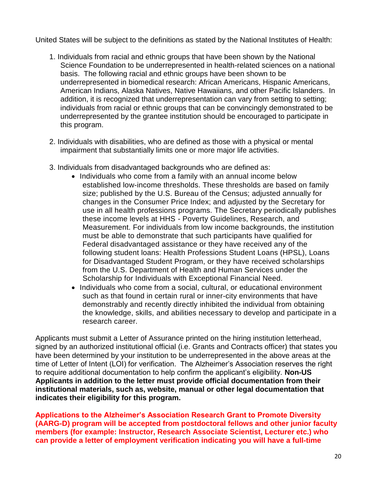United States will be subject to the definitions as stated by the National Institutes of Health:

- 1. Individuals from racial and ethnic groups that have been shown by the National Science Foundation to be underrepresented in health-related sciences on a national basis. The following racial and ethnic groups have been shown to be underrepresented in biomedical research: African Americans, Hispanic Americans, American Indians, Alaska Natives, Native Hawaiians, and other Pacific Islanders. In addition, it is recognized that underrepresentation can vary from setting to setting; individuals from racial or ethnic groups that can be convincingly demonstrated to be underrepresented by the grantee institution should be encouraged to participate in this program.
- 2. Individuals with disabilities, who are defined as those with a physical or mental impairment that substantially limits one or more major life activities.
- 3. Individuals from disadvantaged backgrounds who are defined as:
	- Individuals who come from a family with an annual income below established low-income thresholds. These thresholds are based on family size; published by the U.S. Bureau of the Census; adjusted annually for changes in the Consumer Price Index; and adjusted by the Secretary for use in all health professions programs. The Secretary periodically publishes these income levels at HHS - Poverty Guidelines, Research, and Measurement. For individuals from low income backgrounds, the institution must be able to demonstrate that such participants have qualified for Federal disadvantaged assistance or they have received any of the following student loans: Health Professions Student Loans (HPSL), Loans for Disadvantaged Student Program, or they have received scholarships from the U.S. Department of Health and Human Services under the Scholarship for Individuals with Exceptional Financial Need.
	- Individuals who come from a social, cultural, or educational environment such as that found in certain rural or inner-city environments that have demonstrably and recently directly inhibited the individual from obtaining the knowledge, skills, and abilities necessary to develop and participate in a research career.

Applicants must submit a Letter of Assurance printed on the hiring institution letterhead, signed by an authorized institutional official (i.e. Grants and Contracts officer) that states you have been determined by your institution to be underrepresented in the above areas at the time of Letter of Intent (LOI) for verification. The Alzheimer's Association reserves the right to require additional documentation to help confirm the applicant's eligibility. **Non-US Applicants in addition to the letter must provide official documentation from their institutional materials, such as, website, manual or other legal documentation that indicates their eligibility for this program.** 

**Applications to the Alzheimer's Association Research Grant to Promote Diversity (AARG-D) program will be accepted from postdoctoral fellows and other junior faculty members (for example: Instructor, Research Associate Scientist, Lecturer etc.) who can provide a letter of employment verification indicating you will have a full-time**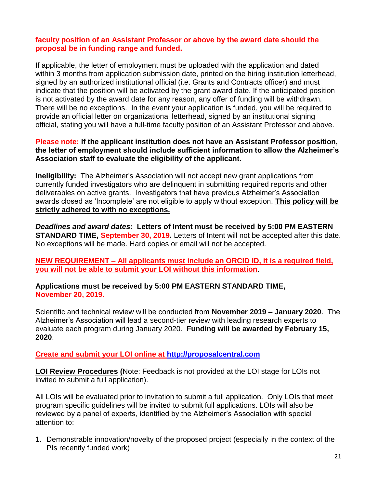#### **faculty position of an Assistant Professor or above by the award date should the proposal be in funding range and funded.**

If applicable, the letter of employment must be uploaded with the application and dated within 3 months from application submission date, printed on the hiring institution letterhead, signed by an authorized institutional official (i.e. Grants and Contracts officer) and must indicate that the position will be activated by the grant award date. If the anticipated position is not activated by the award date for any reason, any offer of funding will be withdrawn. There will be no exceptions. In the event your application is funded, you will be required to provide an official letter on organizational letterhead, signed by an institutional signing official, stating you will have a full-time faculty position of an Assistant Professor and above.

#### **Please note: If the applicant institution does not have an Assistant Professor position, the letter of employment should include sufficient information to allow the Alzheimer's Association staff to evaluate the eligibility of the applicant.**

**Ineligibility:** The Alzheimer's Association will not accept new grant applications from currently funded investigators who are delinquent in submitting required reports and other deliverables on active grants. Investigators that have previous Alzheimer's Association awards closed as 'Incomplete' are not eligible to apply without exception. **This policy will be strictly adhered to with no exceptions.**

*Deadlines and award dates:* **Letters of Intent must be received by 5:00 PM EASTERN STANDARD TIME, September 30, 2019.** Letters of Intent will not be accepted after this date. No exceptions will be made. Hard copies or email will not be accepted.

**NEW REQUIREMENT – All applicants must include an ORCID ID, it is a required field, you will not be able to submit your LOI without this information**.

**Applications must be received by 5:00 PM EASTERN STANDARD TIME, November 20, 2019.**

Scientific and technical review will be conducted from **November 2019 – January 2020**. The Alzheimer's Association will lead a second-tier review with leading research experts to evaluate each program during January 2020. **Funding will be awarded by February 15, 2020**.

#### **Create and submit your LOI online at [http://proposalcentral.com](http://proposalcentral.com/)**

**LOI Review Procedures (**Note: Feedback is not provided at the LOI stage for LOIs not invited to submit a full application).

All LOIs will be evaluated prior to invitation to submit a full application. Only LOIs that meet program specific guidelines will be invited to submit full applications. LOIs will also be reviewed by a panel of experts, identified by the Alzheimer's Association with special attention to:

1. Demonstrable innovation/novelty of the proposed project (especially in the context of the PIs recently funded work)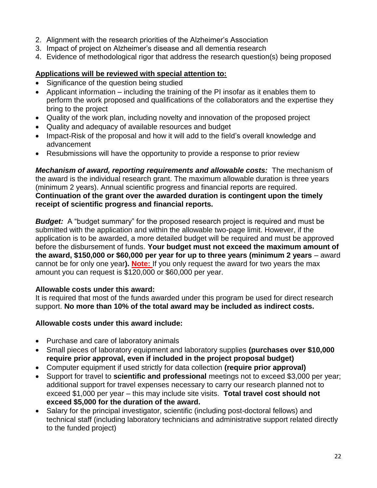- 2. Alignment with the research priorities of the Alzheimer's Association
- 3. Impact of project on Alzheimer's disease and all dementia research
- 4. Evidence of methodological rigor that address the research question(s) being proposed

#### **Applications will be reviewed with special attention to:**

- Significance of the question being studied
- Applicant information including the training of the PI insofar as it enables them to perform the work proposed and qualifications of the collaborators and the expertise they bring to the project
- Quality of the work plan, including novelty and innovation of the proposed project
- Quality and adequacy of available resources and budget
- Impact-Risk of the proposal and how it will add to the field's overall knowledge and advancement
- Resubmissions will have the opportunity to provide a response to prior review

*Mechanism of award, reporting requirements and allowable costs:* The mechanism of the award is the individual research grant. The maximum allowable duration is three years (minimum 2 years). Annual scientific progress and financial reports are required. **Continuation of the grant over the awarded duration is contingent upon the timely receipt of scientific progress and financial reports.** 

*Budget:* A "budget summary" for the proposed research project is required and must be submitted with the application and within the allowable two-page limit. However, if the application is to be awarded, a more detailed budget will be required and must be approved before the disbursement of funds. **Your budget must not exceed the maximum amount of the award, \$150,000 or \$60,000 per year for up to three years (minimum 2 years** – award cannot be for only one year**). Note:** If you only request the award for two years the max amount you can request is \$120,000 or \$60,000 per year.

#### **Allowable costs under this award:**

It is required that most of the funds awarded under this program be used for direct research support. **No more than 10% of the total award may be included as indirect costs.**

## **Allowable costs under this award include:**

- Purchase and care of laboratory animals
- Small pieces of laboratory equipment and laboratory supplies **(purchases over \$10,000 require prior approval, even if included in the project proposal budget)**
- Computer equipment if used strictly for data collection **(require prior approval)**
- Support for travel to **scientific and professional** meetings not to exceed \$3,000 per year; additional support for travel expenses necessary to carry our research planned not to exceed \$1,000 per year – this may include site visits. **Total travel cost should not exceed \$5,000 for the duration of the award.**
- Salary for the principal investigator, scientific (including post-doctoral fellows) and technical staff (including laboratory technicians and administrative support related directly to the funded project)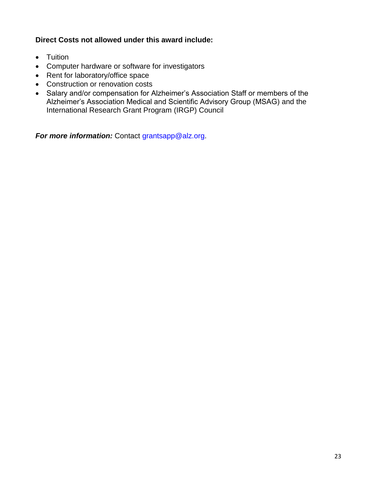## **Direct Costs not allowed under this award include:**

- Tuition
- Computer hardware or software for investigators
- Rent for laboratory/office space
- Construction or renovation costs
- Salary and/or compensation for Alzheimer's Association Staff or members of the Alzheimer's Association Medical and Scientific Advisory Group (MSAG) and the International Research Grant Program (IRGP) Council

*For more information:* Contact [grantsapp@alz.org.](mailto:grantsapp@alz.org)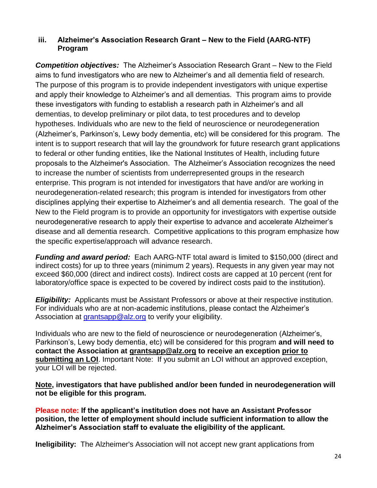#### **iii. Alzheimer's Association Research Grant – New to the Field (AARG-NTF) Program**

*Competition objectives:* The Alzheimer's Association Research Grant – New to the Field aims to fund investigators who are new to Alzheimer's and all dementia field of research. The purpose of this program is to provide independent investigators with unique expertise and apply their knowledge to Alzheimer's and all dementias. This program aims to provide these investigators with funding to establish a research path in Alzheimer's and all dementias, to develop preliminary or pilot data, to test procedures and to develop hypotheses. Individuals who are new to the field of neuroscience or neurodegeneration (Alzheimer's, Parkinson's, Lewy body dementia, etc) will be considered for this program. The intent is to support research that will lay the groundwork for future research grant applications to federal or other funding entities, like the National Institutes of Health, including future proposals to the Alzheimer's Association. The Alzheimer's Association recognizes the need to increase the number of scientists from underrepresented groups in the research enterprise. This program is not intended for investigators that have and/or are working in neurodegeneration-related research; this program is intended for investigators from other disciplines applying their expertise to Alzheimer's and all dementia research. The goal of the New to the Field program is to provide an opportunity for investigators with expertise outside neurodegenerative research to apply their expertise to advance and accelerate Alzheimer's disease and all dementia research. Competitive applications to this program emphasize how the specific expertise/approach will advance research.

**Funding and award period:** Each AARG-NTF total award is limited to \$150,000 (direct and indirect costs) for up to three years (minimum 2 years). Requests in any given year may not exceed \$60,000 (direct and indirect costs). Indirect costs are capped at 10 percent (rent for laboratory/office space is expected to be covered by indirect costs paid to the institution).

*Eligibility:* Applicants must be Assistant Professors or above at their respective institution. For individuals who are at non-academic institutions, please contact the Alzheimer's Association at [grantsapp@alz.org](mailto:grantsapp@alz.org) to verify your eligibility.

Individuals who are new to the field of neuroscience or neurodegeneration (Alzheimer's, Parkinson's, Lewy body dementia, etc) will be considered for this program **and will need to contact the Association at [grantsapp@alz.org](mailto:grantsapp@alz.org) to receive an exception prior to submitting an LOI**. Important Note: If you submit an LOI without an approved exception, your LOI will be rejected.

**Note, investigators that have published and/or been funded in neurodegeneration will not be eligible for this program.**

**Please note: If the applicant's institution does not have an Assistant Professor position, the letter of employment should include sufficient information to allow the Alzheimer's Association staff to evaluate the eligibility of the applicant.**

**Ineligibility:** The Alzheimer's Association will not accept new grant applications from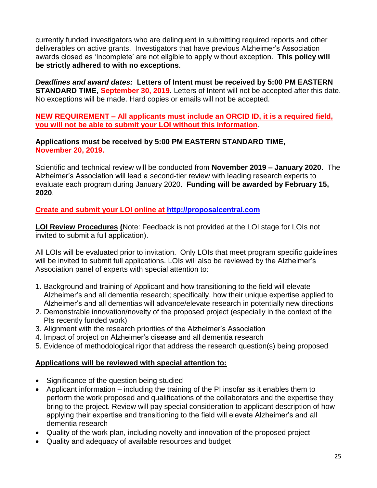currently funded investigators who are delinquent in submitting required reports and other deliverables on active grants. Investigators that have previous Alzheimer's Association awards closed as 'Incomplete' are not eligible to apply without exception. **This policy will be strictly adhered to with no exceptions**.

*Deadlines and award dates:* **Letters of Intent must be received by 5:00 PM EASTERN STANDARD TIME, September 30, 2019.** Letters of Intent will not be accepted after this date. No exceptions will be made. Hard copies or emails will not be accepted.

**NEW REQUIREMENT – All applicants must include an ORCID ID, it is a required field, you will not be able to submit your LOI without this information**.

**Applications must be received by 5:00 PM EASTERN STANDARD TIME, November 20, 2019.**

Scientific and technical review will be conducted from **November 2019 – January 2020**. The Alzheimer's Association will lead a second-tier review with leading research experts to evaluate each program during January 2020. **Funding will be awarded by February 15, 2020**.

**Create and submit your LOI online at [http://proposalcentral.com](http://proposalcentral.com/)**

**LOI Review Procedures (**Note: Feedback is not provided at the LOI stage for LOIs not invited to submit a full application).

All LOIs will be evaluated prior to invitation. Only LOIs that meet program specific guidelines will be invited to submit full applications. LOIs will also be reviewed by the Alzheimer's Association panel of experts with special attention to:

- 1. Background and training of Applicant and how transitioning to the field will elevate Alzheimer's and all dementia research; specifically, how their unique expertise applied to Alzheimer's and all dementias will advance/elevate research in potentially new directions
- 2. Demonstrable innovation/novelty of the proposed project (especially in the context of the PIs recently funded work)
- 3. Alignment with the research priorities of the Alzheimer's Association
- 4. Impact of project on Alzheimer's disease and all dementia research
- 5. Evidence of methodological rigor that address the research question(s) being proposed

#### **Applications will be reviewed with special attention to:**

- Significance of the question being studied
- Applicant information including the training of the PI insofar as it enables them to perform the work proposed and qualifications of the collaborators and the expertise they bring to the project. Review will pay special consideration to applicant description of how applying their expertise and transitioning to the field will elevate Alzheimer's and all dementia research
- Quality of the work plan, including novelty and innovation of the proposed project
- Quality and adequacy of available resources and budget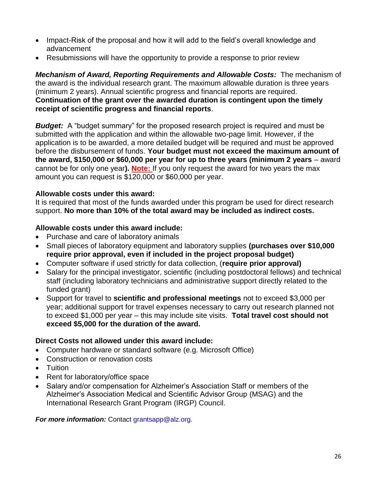- Impact-Risk of the proposal and how it will add to the field's overall knowledge and advancement
- Resubmissions will have the opportunity to provide a response to prior review

*Mechanism of Award, Reporting Requirements and Allowable Costs:* The mechanism of the award is the individual research grant. The maximum allowable duration is three years (minimum 2 years). Annual scientific progress and financial reports are required. **Continuation of the grant over the awarded duration is contingent upon the timely receipt of scientific progress and financial reports**.

*Budget:* A "budget summary" for the proposed research project is required and must be submitted with the application and within the allowable two-page limit. However, if the application is to be awarded, a more detailed budget will be required and must be approved before the disbursement of funds. **Your budget must not exceed the maximum amount of the award, \$150,000 or \$60,000 per year for up to three years (minimum 2 years** – award cannot be for only one year**). Note:** If you only request the award for two years the max amount you can request is \$120,000 or \$60,000 per year.

#### **Allowable costs under this award:**

It is required that most of the funds awarded under this program be used for direct research support. **No more than 10% of the total award may be included as indirect costs.**

#### **Allowable costs under this award include:**

- Purchase and care of laboratory animals
- Small pieces of laboratory equipment and laboratory supplies **(purchases over \$10,000 require prior approval, even if included in the project proposal budget)**
- Computer software if used strictly for data collection, (**require prior approval)**
- Salary for the principal investigator, scientific (including postdoctoral fellows) and technical staff (including laboratory technicians and administrative support directly related to the funded grant)
- Support for travel to **scientific and professional meetings** not to exceed \$3,000 per year; additional support for travel expenses necessary to carry out research planned not to exceed \$1,000 per year – this may include site visits. **Total travel cost should not exceed \$5,000 for the duration of the award.**

#### **Direct Costs not allowed under this award include:**

- Computer hardware or standard software (e.g. Microsoft Office)
- Construction or renovation costs
- Tuition
- Rent for laboratory/office space
- Salary and/or compensation for Alzheimer's Association Staff or members of the Alzheimer's Association Medical and Scientific Advisor Group (MSAG) and the International Research Grant Program (IRGP) Council.

*For more information: Contact [grantsapp@alz.org.](mailto:grantsapp@alz.org)*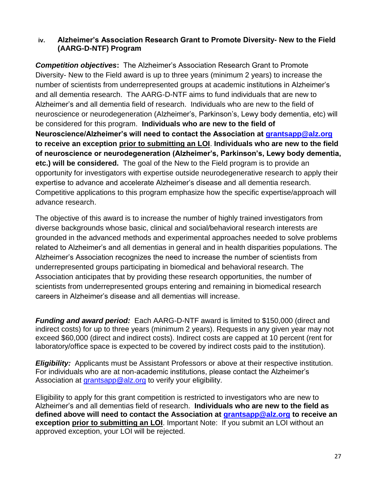#### **iv. Alzheimer's Association Research Grant to Promote Diversity- New to the Field (AARG-D-NTF) Program**

*Competition objectives***:** The Alzheimer's Association Research Grant to Promote Diversity- New to the Field award is up to three years (minimum 2 years) to increase the number of scientists from underrepresented groups at academic institutions in Alzheimer's and all dementia research. The AARG-D-NTF aims to fund individuals that are new to Alzheimer's and all dementia field of research. Individuals who are new to the field of neuroscience or neurodegeneration (Alzheimer's, Parkinson's, Lewy body dementia, etc) will be considered for this program. **Individuals who are new to the field of Neuroscience/Alzheimer's will need to contact the Association at [grantsapp@alz.org](mailto:grantsapp@alz.org) to receive an exception prior to submitting an LOI**. **Individuals who are new to the field of neuroscience or neurodegeneration (Alzheimer's, Parkinson's, Lewy body dementia, etc.) will be considered.** The goal of the New to the Field program is to provide an opportunity for investigators with expertise outside neurodegenerative research to apply their expertise to advance and accelerate Alzheimer's disease and all dementia research. Competitive applications to this program emphasize how the specific expertise/approach will advance research.

The objective of this award is to increase the number of highly trained investigators from diverse backgrounds whose basic, clinical and social/behavioral research interests are grounded in the advanced methods and experimental approaches needed to solve problems related to Alzheimer's and all dementias in general and in health disparities populations. The Alzheimer's Association recognizes the need to increase the number of scientists from underrepresented groups participating in biomedical and behavioral research. The Association anticipates that by providing these research opportunities, the number of scientists from underrepresented groups entering and remaining in biomedical research careers in Alzheimer's disease and all dementias will increase.

*Funding and award period:*Each AARG-D-NTF award is limited to \$150,000 (direct and indirect costs) for up to three years (minimum 2 years). Requests in any given year may not exceed \$60,000 (direct and indirect costs). Indirect costs are capped at 10 percent (rent for laboratory/office space is expected to be covered by indirect costs paid to the institution).

*Eligibility:* Applicants must be Assistant Professors or above at their respective institution. For individuals who are at non-academic institutions, please contact the Alzheimer's Association at [grantsapp@alz.org](mailto:grantsapp@alz.org) to verify your eligibility.

Eligibility to apply for this grant competition is restricted to investigators who are new to Alzheimer's and all dementias field of research. **Individuals who are new to the field as defined above will need to contact the Association at [grantsapp@alz.org](mailto:grantsapp@alz.org) to receive an exception prior to submitting an LOI**. Important Note: If you submit an LOI without an approved exception, your LOI will be rejected.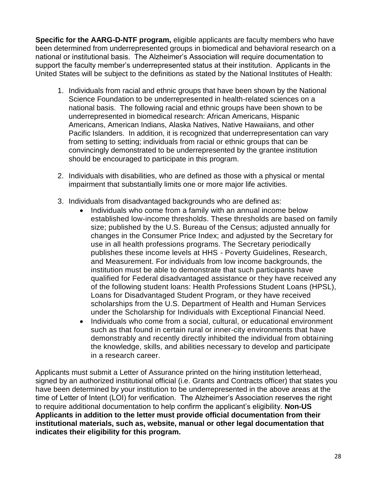**Specific for the AARG-D-NTF program,** eligible applicants are faculty members who have been determined from underrepresented groups in biomedical and behavioral research on a national or institutional basis. The Alzheimer's Association will require documentation to support the faculty member's underrepresented status at their institution. Applicants in the United States will be subject to the definitions as stated by the National Institutes of Health:

- 1. Individuals from racial and ethnic groups that have been shown by the National Science Foundation to be underrepresented in health-related sciences on a national basis. The following racial and ethnic groups have been shown to be underrepresented in biomedical research: African Americans, Hispanic Americans, American Indians, Alaska Natives, Native Hawaiians, and other Pacific Islanders. In addition, it is recognized that underrepresentation can vary from setting to setting; individuals from racial or ethnic groups that can be convincingly demonstrated to be underrepresented by the grantee institution should be encouraged to participate in this program.
- 2. Individuals with disabilities, who are defined as those with a physical or mental impairment that substantially limits one or more major life activities.
- 3. Individuals from disadvantaged backgrounds who are defined as:
	- Individuals who come from a family with an annual income below established low-income thresholds. These thresholds are based on family size; published by the U.S. Bureau of the Census; adjusted annually for changes in the Consumer Price Index; and adjusted by the Secretary for use in all health professions programs. The Secretary periodically publishes these income levels at HHS - Poverty Guidelines, Research, and Measurement. For individuals from low income backgrounds, the institution must be able to demonstrate that such participants have qualified for Federal disadvantaged assistance or they have received any of the following student loans: Health Professions Student Loans (HPSL), Loans for Disadvantaged Student Program, or they have received scholarships from the U.S. Department of Health and Human Services under the Scholarship for Individuals with Exceptional Financial Need.
	- Individuals who come from a social, cultural, or educational environment such as that found in certain rural or inner-city environments that have demonstrably and recently directly inhibited the individual from obtaining the knowledge, skills, and abilities necessary to develop and participate in a research career.

Applicants must submit a Letter of Assurance printed on the hiring institution letterhead, signed by an authorized institutional official (i.e. Grants and Contracts officer) that states you have been determined by your institution to be underrepresented in the above areas at the time of Letter of Intent (LOI) for verification. The Alzheimer's Association reserves the right to require additional documentation to help confirm the applicant's eligibility. **Non-US Applicants in addition to the letter must provide official documentation from their institutional materials, such as, website, manual or other legal documentation that indicates their eligibility for this program.**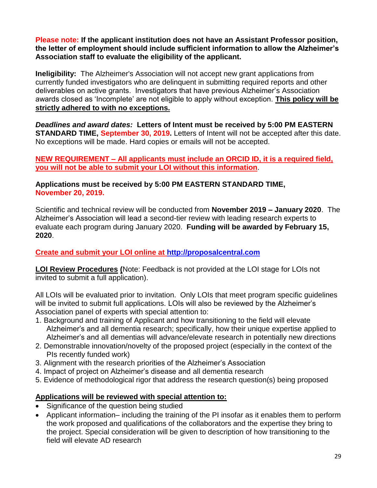**Please note: If the applicant institution does not have an Assistant Professor position, the letter of employment should include sufficient information to allow the Alzheimer's Association staff to evaluate the eligibility of the applicant.** 

**Ineligibility:** The Alzheimer's Association will not accept new grant applications from currently funded investigators who are delinquent in submitting required reports and other deliverables on active grants. Investigators that have previous Alzheimer's Association awards closed as 'Incomplete' are not eligible to apply without exception. **This policy will be strictly adhered to with no exceptions.**

*Deadlines and award dates:* **Letters of Intent must be received by 5:00 PM EASTERN STANDARD TIME, September 30, 2019.** Letters of Intent will not be accepted after this date. No exceptions will be made. Hard copies or emails will not be accepted.

**NEW REQUIREMENT – All applicants must include an ORCID ID, it is a required field, you will not be able to submit your LOI without this information**.

**Applications must be received by 5:00 PM EASTERN STANDARD TIME, November 20, 2019.**

Scientific and technical review will be conducted from **November 2019 – January 2020**. The Alzheimer's Association will lead a second-tier review with leading research experts to evaluate each program during January 2020. **Funding will be awarded by February 15, 2020**.

#### **Create and submit your LOI online at [http://proposalcentral.com](http://proposalcentral.com/)**

**LOI Review Procedures (**Note: Feedback is not provided at the LOI stage for LOIs not invited to submit a full application).

All LOIs will be evaluated prior to invitation. Only LOIs that meet program specific guidelines will be invited to submit full applications. LOIs will also be reviewed by the Alzheimer's Association panel of experts with special attention to:

- 1. Background and training of Applicant and how transitioning to the field will elevate Alzheimer's and all dementia research; specifically, how their unique expertise applied to Alzheimer's and all dementias will advance/elevate research in potentially new directions
- 2. Demonstrable innovation/novelty of the proposed project (especially in the context of the PIs recently funded work)
- 3. Alignment with the research priorities of the Alzheimer's Association
- 4. Impact of project on Alzheimer's disease and all dementia research
- 5. Evidence of methodological rigor that address the research question(s) being proposed

#### **Applications will be reviewed with special attention to:**

- Significance of the question being studied
- Applicant information– including the training of the PI insofar as it enables them to perform the work proposed and qualifications of the collaborators and the expertise they bring to the project. Special consideration will be given to description of how transitioning to the field will elevate AD research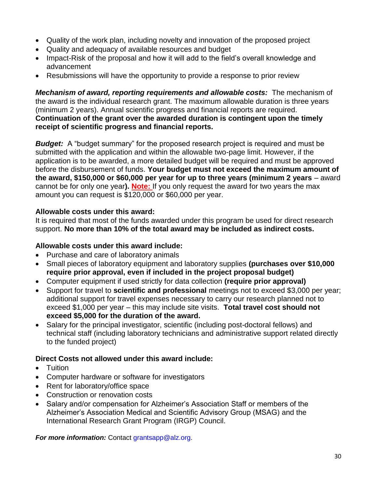- Quality of the work plan, including novelty and innovation of the proposed project
- Quality and adequacy of available resources and budget
- Impact-Risk of the proposal and how it will add to the field's overall knowledge and advancement
- Resubmissions will have the opportunity to provide a response to prior review

*Mechanism of award, reporting requirements and allowable costs:* The mechanism of the award is the individual research grant. The maximum allowable duration is three years (minimum 2 years). Annual scientific progress and financial reports are required. **Continuation of the grant over the awarded duration is contingent upon the timely receipt of scientific progress and financial reports.** 

*Budget:* A "budget summary" for the proposed research project is required and must be submitted with the application and within the allowable two-page limit. However, if the application is to be awarded, a more detailed budget will be required and must be approved before the disbursement of funds. **Your budget must not exceed the maximum amount of the award, \$150,000 or \$60,000 per year for up to three years (minimum 2 years** – award cannot be for only one year**). Note:** If you only request the award for two years the max amount you can request is \$120,000 or \$60,000 per year.

#### **Allowable costs under this award:**

It is required that most of the funds awarded under this program be used for direct research support. **No more than 10% of the total award may be included as indirect costs.**

## **Allowable costs under this award include:**

- Purchase and care of laboratory animals
- Small pieces of laboratory equipment and laboratory supplies **(purchases over \$10,000 require prior approval, even if included in the project proposal budget)**
- Computer equipment if used strictly for data collection **(require prior approval)**
- Support for travel to **scientific and professional** meetings not to exceed \$3,000 per year; additional support for travel expenses necessary to carry our research planned not to exceed \$1,000 per year – this may include site visits. **Total travel cost should not exceed \$5,000 for the duration of the award.**
- Salary for the principal investigator, scientific (including post-doctoral fellows) and technical staff (including laboratory technicians and administrative support related directly to the funded project)

## **Direct Costs not allowed under this award include:**

- Tuition
- Computer hardware or software for investigators
- Rent for laboratory/office space
- Construction or renovation costs
- Salary and/or compensation for Alzheimer's Association Staff or members of the Alzheimer's Association Medical and Scientific Advisory Group (MSAG) and the International Research Grant Program (IRGP) Council.

*For more information:* Contact [grantsapp@alz.org.](mailto:grantsapp@alz.org)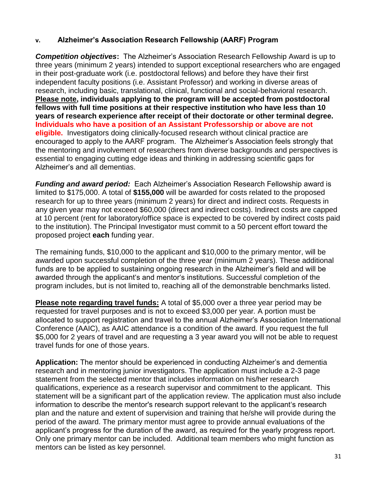#### **v. Alzheimer's Association Research Fellowship (AARF) Program**

*Competition objectives***:** The Alzheimer's Association Research Fellowship Award is up to three years (minimum 2 years) intended to support exceptional researchers who are engaged in their post-graduate work (i.e. postdoctoral fellows) and before they have their first independent faculty positions (i.e. Assistant Professor) and working in diverse areas of research, including basic, translational, clinical, functional and social-behavioral research. **Please note, individuals applying to the program will be accepted from postdoctoral fellows with full time positions at their respective institution who have less than 10 years of research experience after receipt of their doctorate or other terminal degree. Individuals who have a position of an Assistant Professorship or above are not eligible.** Investigators doing clinically-focused research without clinical practice are encouraged to apply to the AARF program. The Alzheimer's Association feels strongly that the mentoring and involvement of researchers from diverse backgrounds and perspectives is essential to engaging cutting edge ideas and thinking in addressing scientific gaps for Alzheimer's and all dementias.

*Funding and award period:* Each Alzheimer's Association Research Fellowship award is limited to \$175,000. A total of **\$155,000** will be awarded for costs related to the proposed research for up to three years (minimum 2 years) for direct and indirect costs. Requests in any given year may not exceed \$60,000 (direct and indirect costs). Indirect costs are capped at 10 percent (rent for laboratory/office space is expected to be covered by indirect costs paid to the institution). The Principal Investigator must commit to a 50 percent effort toward the proposed project **each** funding year.

The remaining funds, \$10,000 to the applicant and \$10,000 to the primary mentor, will be awarded upon successful completion of the three year (minimum 2 years). These additional funds are to be applied to sustaining ongoing research in the Alzheimer's field and will be awarded through the applicant's and mentor's institutions. Successful completion of the program includes, but is not limited to, reaching all of the demonstrable benchmarks listed.

**Please note regarding travel funds:** A total of \$5,000 over a three year period may be requested for travel purposes and is not to exceed \$3,000 per year*.* A portion must be allocated to support registration and travel to the annual Alzheimer's Association International Conference (AAIC), as AAIC attendance is a condition of the award. If you request the full \$5,000 for 2 years of travel and are requesting a 3 year award you will not be able to request travel funds for one of those years.

**Application:** The mentor should be experienced in conducting Alzheimer's and dementia research and in mentoring junior investigators. The application must include a 2-3 page statement from the selected mentor that includes information on his/her research qualifications, experience as a research supervisor and commitment to the applicant. This statement will be a significant part of the application review. The application must also include information to describe the mentor's research support relevant to the applicant's research plan and the nature and extent of supervision and training that he/she will provide during the period of the award. The primary mentor must agree to provide annual evaluations of the applicant's progress for the duration of the award, as required for the yearly progress report. Only one primary mentor can be included. Additional team members who might function as mentors can be listed as key personnel.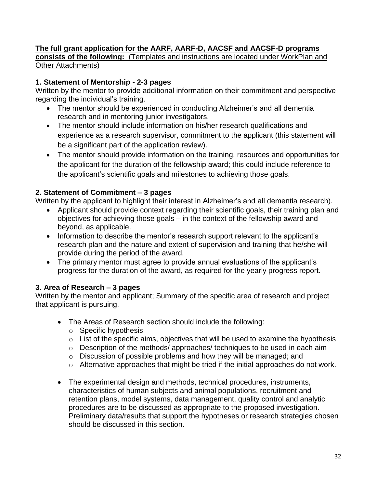#### **The full grant application for the AARF, AARF-D, AACSF and AACSF-D programs consists of the following:** (Templates and instructions are located under WorkPlan and **Other Attachments)**

## **1. Statement of Mentorship - 2-3 pages**

Written by the mentor to provide additional information on their commitment and perspective regarding the individual's training.

- The mentor should be experienced in conducting Alzheimer's and all dementia research and in mentoring junior investigators.
- The mentor should include information on his/her research qualifications and experience as a research supervisor, commitment to the applicant (this statement will be a significant part of the application review).
- The mentor should provide information on the training, resources and opportunities for the applicant for the duration of the fellowship award; this could include reference to the applicant's scientific goals and milestones to achieving those goals.

## **2. Statement of Commitment – 3 pages**

Written by the applicant to highlight their interest in Alzheimer's and all dementia research).

- Applicant should provide context regarding their scientific goals, their training plan and objectives for achieving those goals – in the context of the fellowship award and beyond, as applicable.
- Information to describe the mentor's research support relevant to the applicant's research plan and the nature and extent of supervision and training that he/she will provide during the period of the award.
- The primary mentor must agree to provide annual evaluations of the applicant's progress for the duration of the award, as required for the yearly progress report.

## **3**. **Area of Research – 3 pages**

Written by the mentor and applicant; Summary of the specific area of research and project that applicant is pursuing.

- The Areas of Research section should include the following:
	- o Specific hypothesis
	- $\circ$  List of the specific aims, objectives that will be used to examine the hypothesis
	- o Description of the methods/ approaches/ techniques to be used in each aim
	- o Discussion of possible problems and how they will be managed; and
	- o Alternative approaches that might be tried if the initial approaches do not work.
- The experimental design and methods, technical procedures, instruments, characteristics of human subjects and animal populations, recruitment and retention plans, model systems, data management, quality control and analytic procedures are to be discussed as appropriate to the proposed investigation. Preliminary data/results that support the hypotheses or research strategies chosen should be discussed in this section.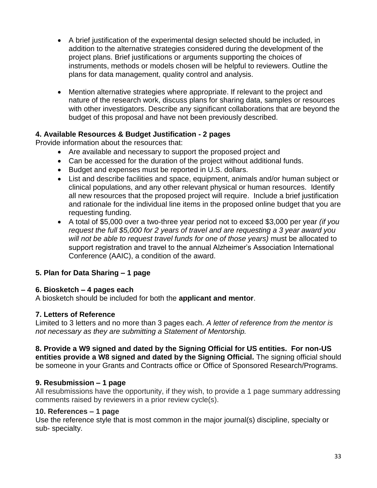- A brief justification of the experimental design selected should be included, in addition to the alternative strategies considered during the development of the project plans. Brief justifications or arguments supporting the choices of instruments, methods or models chosen will be helpful to reviewers. Outline the plans for data management, quality control and analysis.
- Mention alternative strategies where appropriate. If relevant to the project and nature of the research work, discuss plans for sharing data, samples or resources with other investigators. Describe any significant collaborations that are beyond the budget of this proposal and have not been previously described.

#### **4. Available Resources & Budget Justification - 2 pages**

Provide information about the resources that:

- Are available and necessary to support the proposed project and
- Can be accessed for the duration of the project without additional funds.
- Budget and expenses must be reported in U.S. dollars.
- List and describe facilities and space, equipment, animals and/or human subject or clinical populations, and any other relevant physical or human resources. Identify all new resources that the proposed project will require. Include a brief justification and rationale for the individual line items in the proposed online budget that you are requesting funding.
- A total of \$5,000 over a two-three year period not to exceed \$3,000 per year *(if you request the full \$5,000 for 2 years of travel and are requesting a 3 year award you will not be able to request travel funds for one of those years)* must be allocated to support registration and travel to the annual Alzheimer's Association International Conference (AAIC), a condition of the award.

#### **5. Plan for Data Sharing – 1 page**

#### **6. Biosketch – 4 pages each**

A biosketch should be included for both the **applicant and mentor**.

#### **7. Letters of Reference**

Limited to 3 letters and no more than 3 pages each. *A letter of reference from the mentor is not necessary as they are submitting a Statement of Mentorship.*

**8. Provide a W9 signed and dated by the Signing Official for US entities. For non-US entities provide a W8 signed and dated by the Signing Official.** The signing official should be someone in your Grants and Contracts office or Office of Sponsored Research/Programs.

#### **9. Resubmission – 1 page**

All resubmissions have the opportunity, if they wish, to provide a 1 page summary addressing comments raised by reviewers in a prior review cycle(s).

#### **10. References – 1 page**

Use the reference style that is most common in the major journal(s) discipline, specialty or sub- specialty.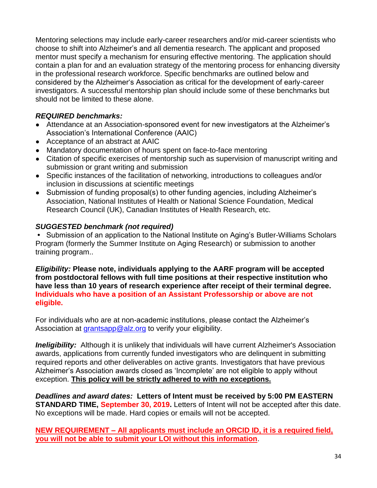Mentoring selections may include early-career researchers and/or mid-career scientists who choose to shift into Alzheimer's and all dementia research. The applicant and proposed mentor must specify a mechanism for ensuring effective mentoring. The application should contain a plan for and an evaluation strategy of the mentoring process for enhancing diversity in the professional research workforce. Specific benchmarks are outlined below and considered by the Alzheimer's Association as critical for the development of early-career investigators. A successful mentorship plan should include some of these benchmarks but should not be limited to these alone.

## *REQUIRED benchmarks:*

- Attendance at an Association-sponsored event for new investigators at the Alzheimer's Association's International Conference (AAIC)
- Acceptance of an abstract at AAIC
- Mandatory documentation of hours spent on face-to-face mentoring
- Citation of specific exercises of mentorship such as supervision of manuscript writing and submission or grant writing and submission
- Specific instances of the facilitation of networking, introductions to colleagues and/or inclusion in discussions at scientific meetings
- Submission of funding proposal(s) to other funding agencies, including Alzheimer's Association, National Institutes of Health or National Science Foundation, Medical Research Council (UK), Canadian Institutes of Health Research, etc.

#### *SUGGESTED benchmark (not required)*

**•** Submission of an application to the National Institute on Aging's Butler-Williams Scholars Program (formerly the Summer Institute on Aging Research) or submission to another training program..

*Eligibility:* **Please note, individuals applying to the AARF program will be accepted from postdoctoral fellows with full time positions at their respective institution who have less than 10 years of research experience after receipt of their terminal degree. Individuals who have a position of an Assistant Professorship or above are not eligible.** 

For individuals who are at non-academic institutions, please contact the Alzheimer's Association at [grantsapp@alz.org](mailto:grantsapp@alz.org) [t](mailto:grantsapp@alz.org)o verify your eligibility.

*Ineligibility:* Although it is unlikely that individuals will have current Alzheimer's Association awards, applications from currently funded investigators who are delinquent in submitting required reports and other deliverables on active grants. Investigators that have previous Alzheimer's Association awards closed as 'Incomplete' are not eligible to apply without exception. **This policy will be strictly adhered to with no exceptions.**

*Deadlines and award dates:* **Letters of Intent must be received by 5:00 PM EASTERN STANDARD TIME, September 30, 2019.** Letters of Intent will not be accepted after this date. No exceptions will be made. Hard copies or emails will not be accepted.

**NEW REQUIREMENT – All applicants must include an ORCID ID, it is a required field, you will not be able to submit your LOI without this information**.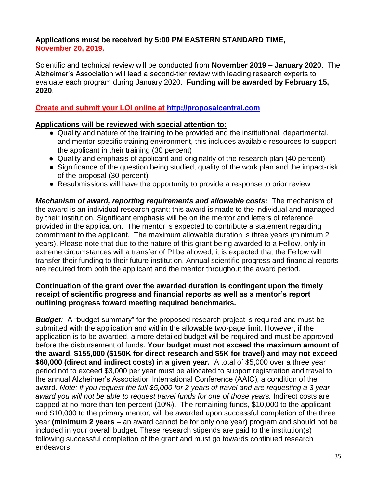#### **Applications must be received by 5:00 PM EASTERN STANDARD TIME, November 20, 2019.**

Scientific and technical review will be conducted from **November 2019 – January 2020**. The Alzheimer's Association will lead a second-tier review with leading research experts to evaluate each program during January 2020. **Funding will be awarded by February 15, 2020**.

## **Create and submit your LOI online at [http://proposalcentral.com](http://proposalcentral.com/)**

#### **Applications will be reviewed with special attention to:**

- Quality and nature of the training to be provided and the institutional, departmental, and mentor-specific training environment, this includes available resources to support the applicant in their training (30 percent)
- Quality and emphasis of applicant and originality of the research plan (40 percent)
- Significance of the question being studied, quality of the work plan and the impact-risk of the proposal (30 percent)
- Resubmissions will have the opportunity to provide a response to prior review

*Mechanism of award, reporting requirements and allowable costs:* The mechanism of the award is an individual research grant; this award is made to the individual and managed by their institution. Significant emphasis will be on the mentor and letters of reference provided in the application. The mentor is expected to contribute a statement regarding commitment to the applicant. The maximum allowable duration is three years (minimum 2 years). Please note that due to the nature of this grant being awarded to a Fellow, only in extreme circumstances will a transfer of PI be allowed; it is expected that the Fellow will transfer their funding to their future institution. Annual scientific progress and financial reports are required from both the applicant and the mentor throughout the award period.

#### **Continuation of the grant over the awarded duration is contingent upon the timely receipt of scientific progress and financial reports as well as a mentor's report outlining progress toward meeting required benchmarks.**

*Budget:* A "budget summary" for the proposed research project is required and must be submitted with the application and within the allowable two-page limit. However, if the application is to be awarded, a more detailed budget will be required and must be approved before the disbursement of funds. **Your budget must not exceed the maximum amount of the award, \$155,000 (\$150K for direct research and \$5K for travel) and may not exceed \$60,000 (direct and indirect costs) in a given year.** A total of \$5,000 over a three year period not to exceed \$3,000 per year must be allocated to support registration and travel to the annual Alzheimer's Association International Conference (AAIC), a condition of the award. *Note: if you request the full \$5,000 for 2 years of travel and are requesting a 3 year award you will not be able to request travel funds for one of those years.* Indirect costs are capped at no more than ten percent (10%). The remaining funds, \$10,000 to the applicant and \$10,000 to the primary mentor, will be awarded upon successful completion of the three year **(minimum 2 years** – an award cannot be for only one year**)** program and should not be included in your overall budget. These research stipends are paid to the institution(s) following successful completion of the grant and must go towards continued research endeavors.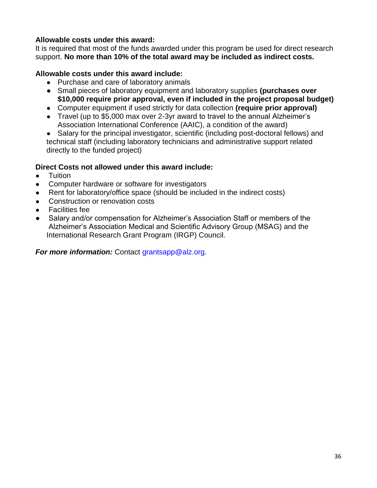#### **Allowable costs under this award:**

It is required that most of the funds awarded under this program be used for direct research support. **No more than 10% of the total award may be included as indirect costs.**

#### **Allowable costs under this award include:**

- Purchase and care of laboratory animals
- Small pieces of laboratory equipment and laboratory supplies **(purchases over \$10,000 require prior approval, even if included in the project proposal budget)**
- Computer equipment if used strictly for data collection **(require prior approval)**
- Travel (up to \$5,000 max over 2-3yr award to travel to the annual Alzheimer's Association International Conference (AAIC), a condition of the award)
- Salary for the principal investigator, scientific (including post-doctoral fellows) and technical staff (including laboratory technicians and administrative support related directly to the funded project)

#### **Direct Costs not allowed under this award include:**

- **Tuition**
- Computer hardware or software for investigators
- Rent for laboratory/office space (should be included in the indirect costs)
- Construction or renovation costs
- **Facilities fee**
- Salary and/or compensation for Alzheimer's Association Staff or members of the Alzheimer's Association Medical and Scientific Advisory Group (MSAG) and the International Research Grant Program (IRGP) Council.

*For more information:* Contact [grantsapp@alz.org.](mailto:grantsapp@alz.org)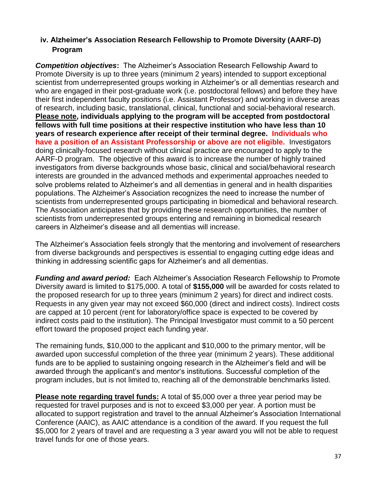## **iv. Alzheimer's Association Research Fellowship to Promote Diversity (AARF-D) Program**

*Competition objectives***:** The Alzheimer's Association Research Fellowship Award to Promote Diversity is up to three years (minimum 2 years) intended to support exceptional scientist from underrepresented groups working in Alzheimer's or all dementias research and who are engaged in their post-graduate work (i.e. postdoctoral fellows) and before they have their first independent faculty positions (i.e. Assistant Professor) and working in diverse areas of research, including basic, translational, clinical, functional and social-behavioral research. **Please note, individuals applying to the program will be accepted from postdoctoral fellows with full time positions at their respective institution who have less than 10 years of research experience after receipt of their terminal degree. Individuals who have a position of an Assistant Professorship or above are not eligible.** Investigators doing clinically-focused research without clinical practice are encouraged to apply to the AARF-D program. The objective of this award is to increase the number of highly trained investigators from diverse backgrounds whose basic, clinical and social/behavioral research interests are grounded in the advanced methods and experimental approaches needed to solve problems related to Alzheimer's and all dementias in general and in health disparities populations. The Alzheimer's Association recognizes the need to increase the number of scientists from underrepresented groups participating in biomedical and behavioral research. The Association anticipates that by providing these research opportunities, the number of scientists from underrepresented groups entering and remaining in biomedical research careers in Alzheimer's disease and all dementias will increase.

The Alzheimer's Association feels strongly that the mentoring and involvement of researchers from diverse backgrounds and perspectives is essential to engaging cutting edge ideas and thinking in addressing scientific gaps for Alzheimer's and all dementias.

*Funding and award period:*Each Alzheimer's Association Research Fellowship to Promote Diversity award is limited to \$175,000. A total of **\$155,000** will be awarded for costs related to the proposed research for up to three years (minimum 2 years) for direct and indirect costs. Requests in any given year may not exceed \$60,000 (direct and indirect costs). Indirect costs are capped at 10 percent (rent for laboratory/office space is expected to be covered by indirect costs paid to the institution). The Principal Investigator must commit to a 50 percent effort toward the proposed project each funding year.

The remaining funds, \$10,000 to the applicant and \$10,000 to the primary mentor, will be awarded upon successful completion of the three year (minimum 2 years). These additional funds are to be applied to sustaining ongoing research in the Alzheimer's field and will be awarded through the applicant's and mentor's institutions. Successful completion of the program includes, but is not limited to, reaching all of the demonstrable benchmarks listed.

**Please note regarding travel funds:** A total of \$5,000 over a three year period may be requested for travel purposes and is not to exceed \$3,000 per year*.* A portion must be allocated to support registration and travel to the annual Alzheimer's Association International Conference (AAIC), as AAIC attendance is a condition of the award. If you request the full \$5,000 for 2 years of travel and are requesting a 3 year award you will not be able to request travel funds for one of those years.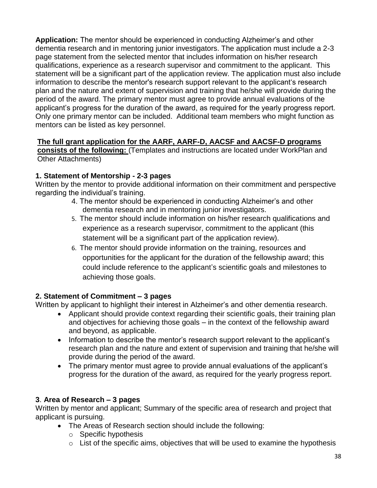**Application:** The mentor should be experienced in conducting Alzheimer's and other dementia research and in mentoring junior investigators. The application must include a 2-3 page statement from the selected mentor that includes information on his/her research qualifications, experience as a research supervisor and commitment to the applicant. This statement will be a significant part of the application review. The application must also include information to describe the mentor's research support relevant to the applicant's research plan and the nature and extent of supervision and training that he/she will provide during the period of the award. The primary mentor must agree to provide annual evaluations of the applicant's progress for the duration of the award, as required for the yearly progress report. Only one primary mentor can be included. Additional team members who might function as mentors can be listed as key personnel.

## **The full grant application for the AARF, AARF-D, AACSF and AACSF-D programs**

**consists of the following:** (Templates and instructions are located under WorkPlan and Other Attachments)

## **1. Statement of Mentorship - 2-3 pages**

Written by the mentor to provide additional information on their commitment and perspective regarding the individual's training.

- 4. The mentor should be experienced in conducting Alzheimer's and other dementia research and in mentoring junior investigators.
- 5. The mentor should include information on his/her research qualifications and experience as a research supervisor, commitment to the applicant (this statement will be a significant part of the application review).
- 6. The mentor should provide information on the training, resources and opportunities for the applicant for the duration of the fellowship award; this could include reference to the applicant's scientific goals and milestones to achieving those goals.

## **2. Statement of Commitment – 3 pages**

Written by applicant to highlight their interest in Alzheimer's and other dementia research.

- Applicant should provide context regarding their scientific goals, their training plan and objectives for achieving those goals – in the context of the fellowship award and beyond, as applicable.
- Information to describe the mentor's research support relevant to the applicant's research plan and the nature and extent of supervision and training that he/she will provide during the period of the award.
- The primary mentor must agree to provide annual evaluations of the applicant's progress for the duration of the award, as required for the yearly progress report.

## **3**. **Area of Research – 3 pages**

Written by mentor and applicant; Summary of the specific area of research and project that applicant is pursuing.

- The Areas of Research section should include the following:
	- o Specific hypothesis
	- $\circ$  List of the specific aims, objectives that will be used to examine the hypothesis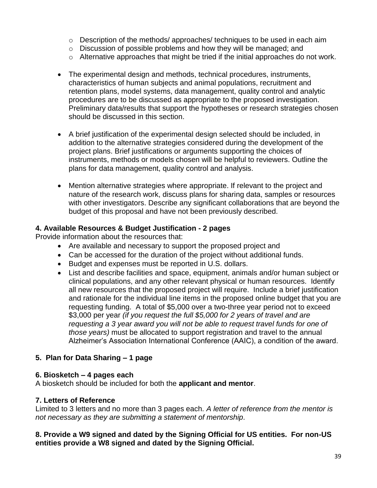- $\circ$  Description of the methods/ approaches/ techniques to be used in each aim
- o Discussion of possible problems and how they will be managed; and
- $\circ$  Alternative approaches that might be tried if the initial approaches do not work.
- The experimental design and methods, technical procedures, instruments, characteristics of human subjects and animal populations, recruitment and retention plans, model systems, data management, quality control and analytic procedures are to be discussed as appropriate to the proposed investigation. Preliminary data/results that support the hypotheses or research strategies chosen should be discussed in this section.
- A brief justification of the experimental design selected should be included, in addition to the alternative strategies considered during the development of the project plans. Brief justifications or arguments supporting the choices of instruments, methods or models chosen will be helpful to reviewers. Outline the plans for data management, quality control and analysis.
- Mention alternative strategies where appropriate. If relevant to the project and nature of the research work, discuss plans for sharing data, samples or resources with other investigators. Describe any significant collaborations that are beyond the budget of this proposal and have not been previously described.

#### **4. Available Resources & Budget Justification - 2 pages**

Provide information about the resources that:

- Are available and necessary to support the proposed project and
- Can be accessed for the duration of the project without additional funds.
- Budget and expenses must be reported in U.S. dollars.
- List and describe facilities and space, equipment, animals and/or human subject or clinical populations, and any other relevant physical or human resources. Identify all new resources that the proposed project will require. Include a brief justification and rationale for the individual line items in the proposed online budget that you are requesting funding. A total of \$5,000 over a two-three year period not to exceed \$3,000 per year *(if you request the full \$5,000 for 2 years of travel and are requesting a 3 year award you will not be able to request travel funds for one of those years)* must be allocated to support registration and travel to the annual Alzheimer's Association International Conference (AAIC), a condition of the award.

#### **5. Plan for Data Sharing – 1 page**

#### **6. Biosketch – 4 pages each**

A biosketch should be included for both the **applicant and mentor**.

#### **7. Letters of Reference**

Limited to 3 letters and no more than 3 pages each. *A letter of reference from the mentor is not necessary as they are submitting a statement of mentorship.*

#### **8. Provide a W9 signed and dated by the Signing Official for US entities. For non-US entities provide a W8 signed and dated by the Signing Official.**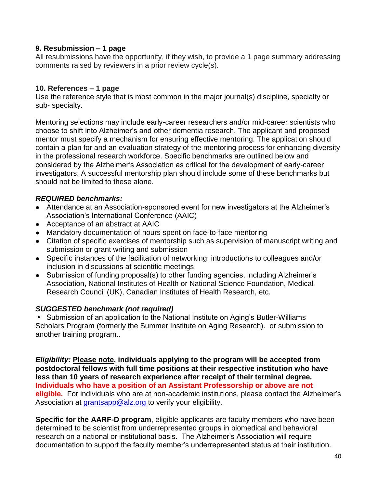#### **9. Resubmission – 1 page**

All resubmissions have the opportunity, if they wish, to provide a 1 page summary addressing comments raised by reviewers in a prior review cycle(s).

#### **10. References – 1 page**

Use the reference style that is most common in the major journal(s) discipline, specialty or sub- specialty.

Mentoring selections may include early-career researchers and/or mid-career scientists who choose to shift into Alzheimer's and other dementia research. The applicant and proposed mentor must specify a mechanism for ensuring effective mentoring. The application should contain a plan for and an evaluation strategy of the mentoring process for enhancing diversity in the professional research workforce. Specific benchmarks are outlined below and considered by the Alzheimer's Association as critical for the development of early-career investigators. A successful mentorship plan should include some of these benchmarks but should not be limited to these alone.

#### *REQUIRED benchmarks:*

- Attendance at an Association-sponsored event for new investigators at the Alzheimer's Association's International Conference (AAIC)
- Acceptance of an abstract at AAIC
- Mandatory documentation of hours spent on face-to-face mentoring
- Citation of specific exercises of mentorship such as supervision of manuscript writing and submission or grant writing and submission
- Specific instances of the facilitation of networking, introductions to colleagues and/or inclusion in discussions at scientific meetings
- Submission of funding proposal(s) to other funding agencies, including Alzheimer's Association, National Institutes of Health or National Science Foundation, Medical Research Council (UK), Canadian Institutes of Health Research, etc.

#### *SUGGESTED benchmark (not required)*

**•** Submission of an application to the National Institute on Aging's Butler-Williams Scholars Program (formerly the Summer Institute on Aging Research). or submission to another training program..

*Eligibility:* **Please note, individuals applying to the program will be accepted from postdoctoral fellows with full time positions at their respective institution who have less than 10 years of research experience after receipt of their terminal degree. Individuals who have a position of an Assistant Professorship or above are not eligible.** For individuals who are at non-academic institutions, please contact the Alzheimer's Association at [grantsapp@alz.org](mailto:grantsapp@alz.org) [t](mailto:grantsapp@alz.org)o verify your eligibility.

**Specific for the AARF-D program**, eligible applicants are faculty members who have been determined to be scientist from underrepresented groups in biomedical and behavioral research on a national or institutional basis. The Alzheimer's Association will require documentation to support the faculty member's underrepresented status at their institution.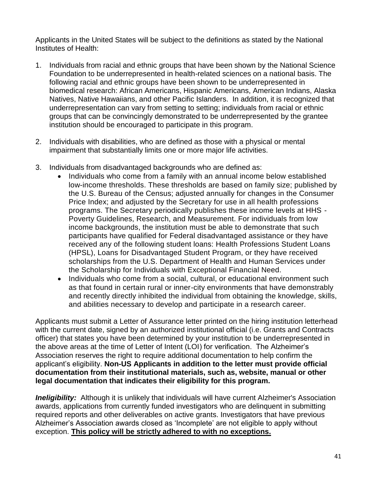Applicants in the United States will be subject to the definitions as stated by the National Institutes of Health:

- 1. Individuals from racial and ethnic groups that have been shown by the National Science Foundation to be underrepresented in health-related sciences on a national basis. The following racial and ethnic groups have been shown to be underrepresented in biomedical research: African Americans, Hispanic Americans, American Indians, Alaska Natives, Native Hawaiians, and other Pacific Islanders. In addition, it is recognized that underrepresentation can vary from setting to setting; individuals from racial or ethnic groups that can be convincingly demonstrated to be underrepresented by the grantee institution should be encouraged to participate in this program.
- 2. Individuals with disabilities, who are defined as those with a physical or mental impairment that substantially limits one or more major life activities.
- 3. Individuals from disadvantaged backgrounds who are defined as:
	- Individuals who come from a family with an annual income below established low-income thresholds. These thresholds are based on family size; published by the U.S. Bureau of the Census; adjusted annually for changes in the Consumer Price Index; and adjusted by the Secretary for use in all health professions programs. The Secretary periodically publishes these income levels at HHS - Poverty Guidelines, Research, and Measurement. For individuals from low income backgrounds, the institution must be able to demonstrate that such participants have qualified for Federal disadvantaged assistance or they have received any of the following student loans: Health Professions Student Loans (HPSL), Loans for Disadvantaged Student Program, or they have received scholarships from the U.S. Department of Health and Human Services under the Scholarship for Individuals with Exceptional Financial Need.
	- Individuals who come from a social, cultural, or educational environment such as that found in certain rural or inner-city environments that have demonstrably and recently directly inhibited the individual from obtaining the knowledge, skills, and abilities necessary to develop and participate in a research career.

Applicants must submit a Letter of Assurance letter printed on the hiring institution letterhead with the current date, signed by an authorized institutional official (i.e. Grants and Contracts officer) that states you have been determined by your institution to be underrepresented in the above areas at the time of Letter of Intent (LOI) for verification. The Alzheimer's Association reserves the right to require additional documentation to help confirm the applicant's eligibility. **Non-US Applicants in addition to the letter must provide official documentation from their institutional materials, such as, website, manual or other legal documentation that indicates their eligibility for this program.** 

*Ineligibility:* Although it is unlikely that individuals will have current Alzheimer's Association awards, applications from currently funded investigators who are delinquent in submitting required reports and other deliverables on active grants. Investigators that have previous Alzheimer's Association awards closed as 'Incomplete' are not eligible to apply without exception. **This policy will be strictly adhered to with no exceptions.**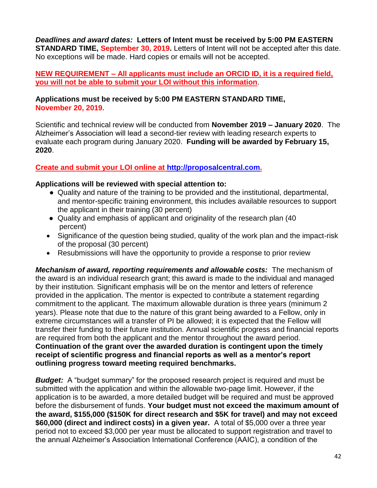*Deadlines and award dates:* **Letters of Intent must be received by 5:00 PM EASTERN STANDARD TIME, September 30, 2019.** Letters of Intent will not be accepted after this date. No exceptions will be made. Hard copies or emails will not be accepted.

#### **NEW REQUIREMENT – All applicants must include an ORCID ID, it is a required field, you will not be able to submit your LOI without this information**.

#### **Applications must be received by 5:00 PM EASTERN STANDARD TIME, November 20, 2019.**

Scientific and technical review will be conducted from **November 2019 – January 2020**. The Alzheimer's Association will lead a second-tier review with leading research experts to evaluate each program during January 2020. **Funding will be awarded by February 15, 2020**.

#### **Create and submit your LOI online at [http://proposalcentral.com.](http://proposalcentral.com/)**

#### **Applications will be reviewed with special attention to:**

- Quality and nature of the training to be provided and the institutional, departmental, and mentor-specific training environment, this includes available resources to support the applicant in their training (30 percent)
- Quality and emphasis of applicant and originality of the research plan (40 percent)
- Significance of the question being studied, quality of the work plan and the impact-risk of the proposal (30 percent)
- Resubmissions will have the opportunity to provide a response to prior review

*Mechanism of award, reporting requirements and allowable costs:* The mechanism of the award is an individual research grant; this award is made to the individual and managed by their institution. Significant emphasis will be on the mentor and letters of reference provided in the application. The mentor is expected to contribute a statement regarding commitment to the applicant. The maximum allowable duration is three years (minimum 2 years). Please note that due to the nature of this grant being awarded to a Fellow, only in extreme circumstances will a transfer of PI be allowed; it is expected that the Fellow will transfer their funding to their future institution. Annual scientific progress and financial reports are required from both the applicant and the mentor throughout the award period. **Continuation of the grant over the awarded duration is contingent upon the timely receipt of scientific progress and financial reports as well as a mentor's report outlining progress toward meeting required benchmarks.**

*Budget:* A "budget summary" for the proposed research project is required and must be submitted with the application and within the allowable two-page limit. However, if the application is to be awarded, a more detailed budget will be required and must be approved before the disbursement of funds. **Your budget must not exceed the maximum amount of the award, \$155,000 (\$150K for direct research and \$5K for travel) and may not exceed \$60,000 (direct and indirect costs) in a given year.** A total of \$5,000 over a three year period not to exceed \$3,000 per year must be allocated to support registration and travel to the annual Alzheimer's Association International Conference (AAIC), a condition of the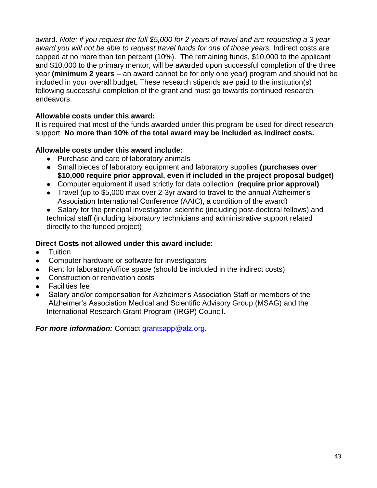award. *Note: if you request the full \$5,000 for 2 years of travel and are requesting a 3 year award you will not be able to request travel funds for one of those years.* Indirect costs are capped at no more than ten percent (10%). The remaining funds, \$10,000 to the applicant and \$10,000 to the primary mentor, will be awarded upon successful completion of the three year **(minimum 2 years** – an award cannot be for only one year**)** program and should not be included in your overall budget. These research stipends are paid to the institution(s) following successful completion of the grant and must go towards continued research endeavors.

#### **Allowable costs under this award:**

It is required that most of the funds awarded under this program be used for direct research support. **No more than 10% of the total award may be included as indirect costs.**

#### **Allowable costs under this award include:**

- Purchase and care of laboratory animals
- Small pieces of laboratory equipment and laboratory supplies **(purchases over \$10,000 require prior approval, even if included in the project proposal budget)**
- Computer equipment if used strictly for data collection **(require prior approval)**
- Travel (up to \$5,000 max over 2-3yr award to travel to the annual Alzheimer's Association International Conference (AAIC), a condition of the award)
- Salary for the principal investigator, scientific (including post-doctoral fellows) and technical staff (including laboratory technicians and administrative support related directly to the funded project)

#### **Direct Costs not allowed under this award include:**

- Tuition
- Computer hardware or software for investigators
- Rent for laboratory/office space (should be included in the indirect costs)
- Construction or renovation costs
- **Facilities fee**
- Salary and/or compensation for Alzheimer's Association Staff or members of the Alzheimer's Association Medical and Scientific Advisory Group (MSAG) and the International Research Grant Program (IRGP) Council.

*For more information:* Contact [grantsapp@alz.org.](mailto:grantsapp@alz.org)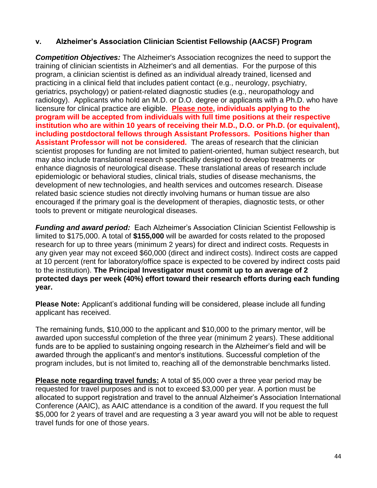#### **v. Alzheimer's Association Clinician Scientist Fellowship (AACSF) Program**

*Competition Objectives:* The Alzheimer's Association recognizes the need to support the training of clinician scientists in Alzheimer's and all dementias. For the purpose of this program, a clinician scientist is defined as an individual already trained, licensed and practicing in a clinical field that includes patient contact (e.g., neurology, psychiatry, geriatrics, psychology) or patient-related diagnostic studies (e.g., neuropathology and radiology). Applicants who hold an M.D. or D.O. degree or applicants with a Ph.D. who have licensure for clinical practice are eligible. **Please note, individuals applying to the program will be accepted from individuals with full time positions at their respective institution who are within 10 years of receiving their M.D., D.O. or Ph.D. (or equivalent), including postdoctoral fellows through Assistant Professors. Positions higher than Assistant Professor will not be considered.** The areas of research that the clinician scientist proposes for funding are not limited to patient-oriented, human subject research, but may also include translational research specifically designed to develop treatments or enhance diagnosis of neurological disease. These translational areas of research include epidemiologic or behavioral studies, clinical trials, studies of disease mechanisms, the development of new technologies, and health services and outcomes research. Disease related basic science studies not directly involving humans or human tissue are also encouraged if the primary goal is the development of therapies, diagnostic tests, or other tools to prevent or mitigate neurological diseases.

*Funding and award period:*Each Alzheimer's Association Clinician Scientist Fellowship is limited to \$175,000. A total of **\$155,000** will be awarded for costs related to the proposed research for up to three years (minimum 2 years) for direct and indirect costs. Requests in any given year may not exceed \$60,000 (direct and indirect costs). Indirect costs are capped at 10 percent (rent for laboratory/office space is expected to be covered by indirect costs paid to the institution). **The Principal Investigator must commit up to an average of 2 protected days per week (40%) effort toward their research efforts during each funding year.** 

**Please Note:** Applicant's additional funding will be considered, please include all funding applicant has received.

The remaining funds, \$10,000 to the applicant and \$10,000 to the primary mentor, will be awarded upon successful completion of the three year (minimum 2 years). These additional funds are to be applied to sustaining ongoing research in the Alzheimer's field and will be awarded through the applicant's and mentor's institutions. Successful completion of the program includes, but is not limited to, reaching all of the demonstrable benchmarks listed.

**Please note regarding travel funds:** A total of \$5,000 over a three year period may be requested for travel purposes and is not to exceed \$3,000 per year*.* A portion must be allocated to support registration and travel to the annual Alzheimer's Association International Conference (AAIC), as AAIC attendance is a condition of the award. If you request the full \$5,000 for 2 years of travel and are requesting a 3 year award you will not be able to request travel funds for one of those years.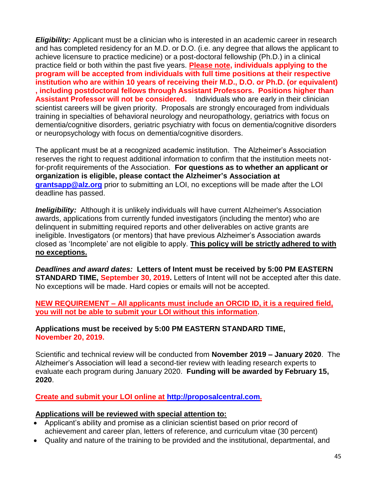*Eligibility:* Applicant must be a clinician who is interested in an academic career in research and has completed residency for an M.D. or D.O. (i.e. any degree that allows the applicant to achieve licensure to practice medicine) or a post-doctoral fellowship (Ph.D.) in a clinical practice field or both within the past five years. **Please note, individuals applying to the program will be accepted from individuals with full time positions at their respective institution who are within 10 years of receiving their M.D., D.O. or Ph.D. (or equivalent) , including postdoctoral fellows through Assistant Professors. Positions higher than Assistant Professor will not be considered.** Individuals who are early in their clinician scientist careers will be given priority. Proposals are strongly encouraged from individuals training in specialties of behavioral neurology and neuropathology, geriatrics with focus on dementia/cognitive disorders, geriatric psychiatry with focus on dementia/cognitive disorders or neuropsychology with focus on dementia/cognitive disorders.

The applicant must be at a recognized academic institution. The Alzheimer's Association reserves the right to request additional information to confirm that the institution meets notfor-profit requirements of the Association. **For questions as to whether an applicant or organization is eligible, please contact the Alzheimer's Association at grantsapp@alz.org** [prior to submitting an LOI, no exceptions will be made after the LOI](mailto:grantsapp@alz.org%20prior%20to%20submitting%20an%20LOI,%20no%20exceptions%20will%20be%20made%20after%20the%20LOI%20deadline%20has%20passed.)  [deadline has passed.](mailto:grantsapp@alz.org%20prior%20to%20submitting%20an%20LOI,%20no%20exceptions%20will%20be%20made%20after%20the%20LOI%20deadline%20has%20passed.)

*Ineligibility:* Although it is unlikely individuals will have current Alzheimer's Association awards, applications from currently funded investigators (including the mentor) who are delinquent in submitting required reports and other deliverables on active grants are ineligible. Investigators (or mentors) that have previous Alzheimer's Association awards closed as 'Incomplete' are not eligible to apply. **This policy will be strictly adhered to with no exceptions.**

*Deadlines and award dates:* **Letters of Intent must be received by 5:00 PM EASTERN STANDARD TIME, September 30, 2019.** Letters of Intent will not be accepted after this date. No exceptions will be made. Hard copies or emails will not be accepted.

**NEW REQUIREMENT – All applicants must include an ORCID ID, it is a required field, you will not be able to submit your LOI without this information**.

#### **Applications must be received by 5:00 PM EASTERN STANDARD TIME, November 20, 2019.**

Scientific and technical review will be conducted from **November 2019 – January 2020**. The Alzheimer's Association will lead a second-tier review with leading research experts to evaluate each program during January 2020. **Funding will be awarded by February 15, 2020**.

#### **Create and submit your LOI online at [http://proposalcentral.com.](http://proposalcentral.com/)**

#### **Applications will be reviewed with special attention to:**

- Applicant's ability and promise as a clinician scientist based on prior record of achievement and career plan, letters of reference, and curriculum vitae (30 percent)
- Quality and nature of the training to be provided and the institutional, departmental, and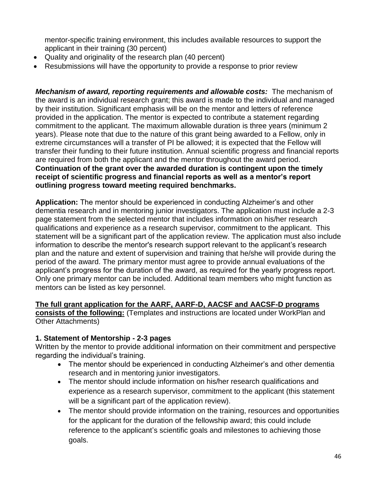mentor-specific training environment, this includes available resources to support the applicant in their training (30 percent)

- Quality and originality of the research plan (40 percent)
- Resubmissions will have the opportunity to provide a response to prior review

*Mechanism of award, reporting requirements and allowable costs:* The mechanism of the award is an individual research grant; this award is made to the individual and managed by their institution. Significant emphasis will be on the mentor and letters of reference provided in the application. The mentor is expected to contribute a statement regarding commitment to the applicant. The maximum allowable duration is three years (minimum 2 years). Please note that due to the nature of this grant being awarded to a Fellow, only in extreme circumstances will a transfer of PI be allowed; it is expected that the Fellow will transfer their funding to their future institution. Annual scientific progress and financial reports are required from both the applicant and the mentor throughout the award period. **Continuation of the grant over the awarded duration is contingent upon the timely receipt of scientific progress and financial reports as well as a mentor's report outlining progress toward meeting required benchmarks.**

**Application:** The mentor should be experienced in conducting Alzheimer's and other dementia research and in mentoring junior investigators. The application must include a 2-3 page statement from the selected mentor that includes information on his/her research qualifications and experience as a research supervisor, commitment to the applicant. This statement will be a significant part of the application review. The application must also include information to describe the mentor's research support relevant to the applicant's research plan and the nature and extent of supervision and training that he/she will provide during the period of the award. The primary mentor must agree to provide annual evaluations of the applicant's progress for the duration of the award, as required for the yearly progress report. Only one primary mentor can be included. Additional team members who might function as mentors can be listed as key personnel.

## **The full grant application for the AARF, AARF-D, AACSF and AACSF-D programs**

**consists of the following:** (Templates and instructions are located under WorkPlan and Other Attachments)

## **1. Statement of Mentorship - 2-3 pages**

Written by the mentor to provide additional information on their commitment and perspective regarding the individual's training.

- The mentor should be experienced in conducting Alzheimer's and other dementia research and in mentoring junior investigators.
- The mentor should include information on his/her research qualifications and experience as a research supervisor, commitment to the applicant (this statement will be a significant part of the application review).
- The mentor should provide information on the training, resources and opportunities for the applicant for the duration of the fellowship award; this could include reference to the applicant's scientific goals and milestones to achieving those goals.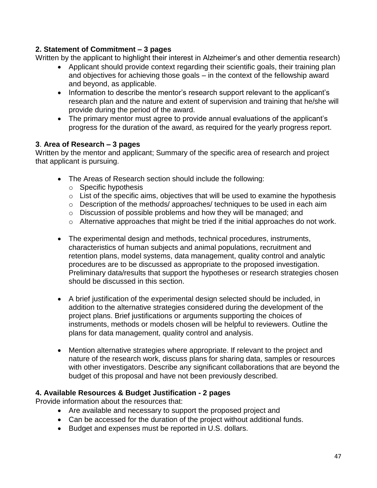#### **2. Statement of Commitment – 3 pages**

Written by the applicant to highlight their interest in Alzheimer's and other dementia research)

- Applicant should provide context regarding their scientific goals, their training plan and objectives for achieving those goals – in the context of the fellowship award and beyond, as applicable.
- Information to describe the mentor's research support relevant to the applicant's research plan and the nature and extent of supervision and training that he/she will provide during the period of the award.
- The primary mentor must agree to provide annual evaluations of the applicant's progress for the duration of the award, as required for the yearly progress report.

#### **3**. **Area of Research – 3 pages**

Written by the mentor and applicant; Summary of the specific area of research and project that applicant is pursuing.

- The Areas of Research section should include the following:
	- o Specific hypothesis
	- $\circ$  List of the specific aims, objectives that will be used to examine the hypothesis
	- o Description of the methods/ approaches/ techniques to be used in each aim
	- o Discussion of possible problems and how they will be managed; and
	- $\circ$  Alternative approaches that might be tried if the initial approaches do not work.
- The experimental design and methods, technical procedures, instruments, characteristics of human subjects and animal populations, recruitment and retention plans, model systems, data management, quality control and analytic procedures are to be discussed as appropriate to the proposed investigation. Preliminary data/results that support the hypotheses or research strategies chosen should be discussed in this section.
- A brief justification of the experimental design selected should be included, in addition to the alternative strategies considered during the development of the project plans. Brief justifications or arguments supporting the choices of instruments, methods or models chosen will be helpful to reviewers. Outline the plans for data management, quality control and analysis.
- Mention alternative strategies where appropriate. If relevant to the project and nature of the research work, discuss plans for sharing data, samples or resources with other investigators. Describe any significant collaborations that are beyond the budget of this proposal and have not been previously described.

#### **4. Available Resources & Budget Justification - 2 pages**

Provide information about the resources that:

- Are available and necessary to support the proposed project and
- Can be accessed for the duration of the project without additional funds.
- Budget and expenses must be reported in U.S. dollars.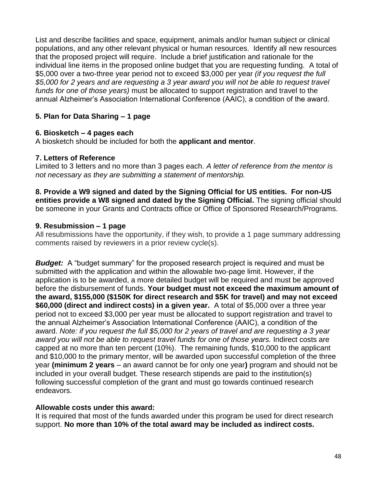List and describe facilities and space, equipment, animals and/or human subject or clinical populations, and any other relevant physical or human resources. Identify all new resources that the proposed project will require. Include a brief justification and rationale for the individual line items in the proposed online budget that you are requesting funding. A total of \$5,000 over a two-three year period not to exceed \$3,000 per year *(if you request the full \$5,000 for 2 years and are requesting a 3 year award you will not be able to request travel funds for one of those years)* must be allocated to support registration and travel to the annual Alzheimer's Association International Conference (AAIC), a condition of the award.

## **5. Plan for Data Sharing – 1 page**

#### **6. Biosketch – 4 pages each**

A biosketch should be included for both the **applicant and mentor**.

#### **7. Letters of Reference**

Limited to 3 letters and no more than 3 pages each. *A letter of reference from the mentor is not necessary as they are submitting a statement of mentorship.*

**8. Provide a W9 signed and dated by the Signing Official for US entities. For non-US entities provide a W8 signed and dated by the Signing Official.** The signing official should be someone in your Grants and Contracts office or Office of Sponsored Research/Programs.

#### **9. Resubmission – 1 page**

All resubmissions have the opportunity, if they wish, to provide a 1 page summary addressing comments raised by reviewers in a prior review cycle(s).

*Budget:* A "budget summary" for the proposed research project is required and must be submitted with the application and within the allowable two-page limit. However, if the application is to be awarded, a more detailed budget will be required and must be approved before the disbursement of funds. **Your budget must not exceed the maximum amount of the award, \$155,000 (\$150K for direct research and \$5K for travel) and may not exceed \$60,000 (direct and indirect costs) in a given year.** A total of \$5,000 over a three year period not to exceed \$3,000 per year must be allocated to support registration and travel to the annual Alzheimer's Association International Conference (AAIC), a condition of the award. *Note: if you request the full \$5,000 for 2 years of travel and are requesting a 3 year award you will not be able to request travel funds for one of those years.* Indirect costs are capped at no more than ten percent (10%). The remaining funds, \$10,000 to the applicant and \$10,000 to the primary mentor, will be awarded upon successful completion of the three year **(minimum 2 years** – an award cannot be for only one year**)** program and should not be included in your overall budget. These research stipends are paid to the institution(s) following successful completion of the grant and must go towards continued research endeavors.

#### **Allowable costs under this award:**

It is required that most of the funds awarded under this program be used for direct research support. **No more than 10% of the total award may be included as indirect costs.**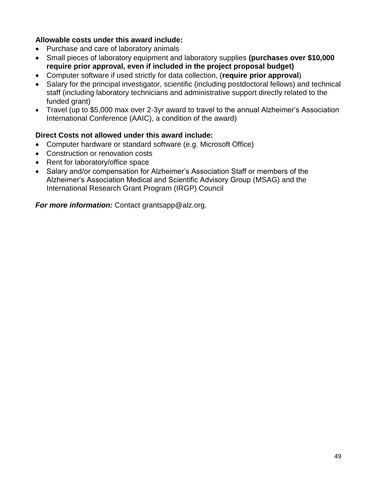#### **Allowable costs under this award include:**

- Purchase and care of laboratory animals
- Small pieces of laboratory equipment and laboratory supplies **(purchases over \$10,000 require prior approval, even if included in the project proposal budget)**
- Computer software if used strictly for data collection, (**require prior approval**)
- Salary for the principal investigator, scientific (including postdoctoral fellows) and technical staff (including laboratory technicians and administrative support directly related to the funded grant)
- Travel (up to \$5,000 max over 2-3yr award to travel to the annual Alzheimer's Association International Conference (AAIC), a condition of the award)

#### **Direct Costs not allowed under this award include:**

- Computer hardware or standard software (e.g. Microsoft Office)
- Construction or renovation costs
- Rent for laboratory/office space
- Salary and/or compensation for Alzheimer's Association Staff or members of the Alzheimer's Association Medical and Scientific Advisory Group (MSAG) and the International Research Grant Program (IRGP) Council

*For more information:* Contact [grantsapp@alz.org.](mailto:grantsapp@alz.org)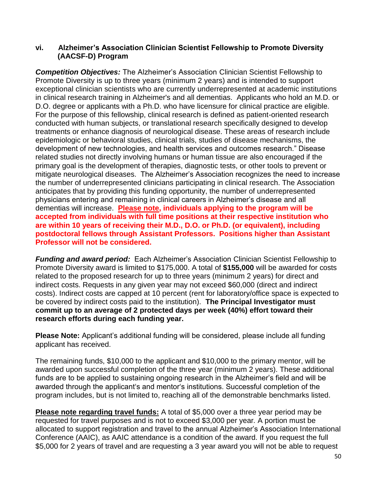#### **vi. Alzheimer's Association Clinician Scientist Fellowship to Promote Diversity (AACSF-D) Program**

*Competition Objectives:* The Alzheimer's Association Clinician Scientist Fellowship to Promote Diversity is up to three years (minimum 2 years) and is intended to support exceptional clinician scientists who are currently underrepresented at academic institutions in clinical research training in Alzheimer's and all dementias. Applicants who hold an M.D. or D.O. degree or applicants with a Ph.D. who have licensure for clinical practice are eligible. For the purpose of this fellowship, clinical research is defined as patient-oriented research conducted with human subjects, or translational research specifically designed to develop treatments or enhance diagnosis of neurological disease. These areas of research include epidemiologic or behavioral studies, clinical trials, studies of disease mechanisms, the development of new technologies, and health services and outcomes research." Disease related studies not directly involving humans or human tissue are also encouraged if the primary goal is the development of therapies, diagnostic tests, or other tools to prevent or mitigate neurological diseases. The Alzheimer's Association recognizes the need to increase the number of underrepresented clinicians participating in clinical research. The Association anticipates that by providing this funding opportunity, the number of underrepresented physicians entering and remaining in clinical careers in Alzheimer's disease and all dementias will increase. **Please note, individuals applying to the program will be accepted from individuals with full time positions at their respective institution who are within 10 years of receiving their M.D., D.O. or Ph.D. (or equivalent), including postdoctoral fellows through Assistant Professors. Positions higher than Assistant Professor will not be considered.**

**Funding and award period:** Each Alzheimer's Association Clinician Scientist Fellowship to Promote Diversity award is limited to \$175,000. A total of **\$155,000** will be awarded for costs related to the proposed research for up to three years (minimum 2 years) for direct and indirect costs. Requests in any given year may not exceed \$60,000 (direct and indirect costs). Indirect costs are capped at 10 percent (rent for laboratory/office space is expected to be covered by indirect costs paid to the institution). **The Principal Investigator must commit up to an average of 2 protected days per week (40%) effort toward their research efforts during each funding year.** 

**Please Note:** Applicant's additional funding will be considered, please include all funding applicant has received.

The remaining funds, \$10,000 to the applicant and \$10,000 to the primary mentor, will be awarded upon successful completion of the three year (minimum 2 years). These additional funds are to be applied to sustaining ongoing research in the Alzheimer's field and will be awarded through the applicant's and mentor's institutions. Successful completion of the program includes, but is not limited to, reaching all of the demonstrable benchmarks listed.

**Please note regarding travel funds:** A total of \$5,000 over a three year period may be requested for travel purposes and is not to exceed \$3,000 per year*.* A portion must be allocated to support registration and travel to the annual Alzheimer's Association International Conference (AAIC), as AAIC attendance is a condition of the award. If you request the full \$5,000 for 2 years of travel and are requesting a 3 year award you will not be able to request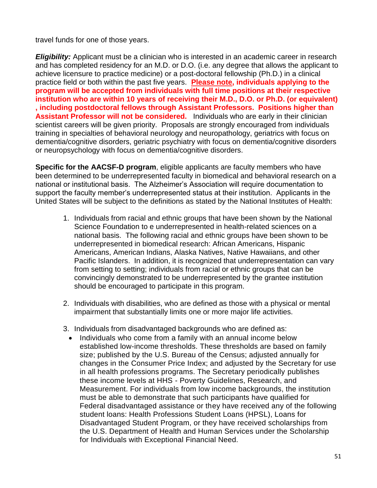travel funds for one of those years.

*Eligibility:* Applicant must be a clinician who is interested in an academic career in research and has completed residency for an M.D. or D.O. (i.e. any degree that allows the applicant to achieve licensure to practice medicine) or a post-doctoral fellowship (Ph.D.) in a clinical practice field or both within the past five years. **Please note, individuals applying to the program will be accepted from individuals with full time positions at their respective institution who are within 10 years of receiving their M.D., D.O. or Ph.D. (or equivalent) , including postdoctoral fellows through Assistant Professors. Positions higher than Assistant Professor will not be considered.** Individuals who are early in their clinician scientist careers will be given priority. Proposals are strongly encouraged from individuals training in specialties of behavioral neurology and neuropathology, geriatrics with focus on dementia/cognitive disorders, geriatric psychiatry with focus on dementia/cognitive disorders or neuropsychology with focus on dementia/cognitive disorders.

**Specific for the AACSF-D program**, eligible applicants are faculty members who have been determined to be underrepresented faculty in biomedical and behavioral research on a national or institutional basis. The Alzheimer's Association will require documentation to support the faculty member's underrepresented status at their institution. Applicants in the United States will be subject to the definitions as stated by the National Institutes of Health:

- 1. Individuals from racial and ethnic groups that have been shown by the National Science Foundation to e underrepresented in health-related sciences on a national basis. The following racial and ethnic groups have been shown to be underrepresented in biomedical research: African Americans, Hispanic Americans, American Indians, Alaska Natives, Native Hawaiians, and other Pacific Islanders. In addition, it is recognized that underrepresentation can vary from setting to setting; individuals from racial or ethnic groups that can be convincingly demonstrated to be underrepresented by the grantee institution should be encouraged to participate in this program.
- 2. Individuals with disabilities, who are defined as those with a physical or mental impairment that substantially limits one or more major life activities.
- 3. Individuals from disadvantaged backgrounds who are defined as:
	- Individuals who come from a family with an annual income below established low-income thresholds. These thresholds are based on family size; published by the U.S. Bureau of the Census; adjusted annually for changes in the Consumer Price Index; and adjusted by the Secretary for use in all health professions programs. The Secretary periodically publishes these income levels at HHS - Poverty Guidelines, Research, and Measurement. For individuals from low income backgrounds, the institution must be able to demonstrate that such participants have qualified for Federal disadvantaged assistance or they have received any of the following student loans: Health Professions Student Loans (HPSL), Loans for Disadvantaged Student Program, or they have received scholarships from the U.S. Department of Health and Human Services under the Scholarship for Individuals with Exceptional Financial Need.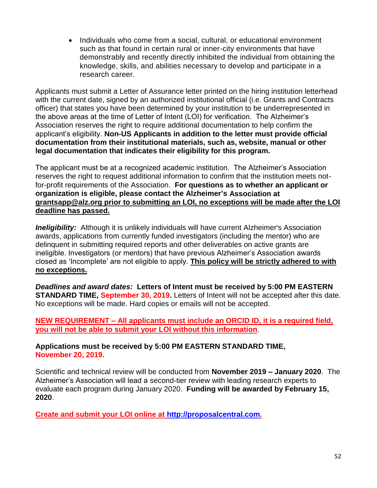• Individuals who come from a social, cultural, or educational environment such as that found in certain rural or inner-city environments that have demonstrably and recently directly inhibited the individual from obtaining the knowledge, skills, and abilities necessary to develop and participate in a research career.

Applicants must submit a Letter of Assurance letter printed on the hiring institution letterhead with the current date, signed by an authorized institutional official (i.e. Grants and Contracts officer) that states you have been determined by your institution to be underrepresented in the above areas at the time of Letter of Intent (LOI) for verification. The Alzheimer's Association reserves the right to require additional documentation to help confirm the applicant's eligibility. **Non-US Applicants in addition to the letter must provide official documentation from their institutional materials, such as, website, manual or other legal documentation that indicates their eligibility for this program.** 

The applicant must be at a recognized academic institution. The Alzheimer's Association reserves the right to request additional information to confirm that the institution meets notfor-profit requirements of the Association. **For questions as to whether an applicant or organization is eligible, please contact the Alzheimer's Association at [grantsapp@alz.org prior to submitting an LOI, no exceptions will be made after the LOI](mailto:grantsapp@alz.org%20prior%20to%20submitting%20an%20LOI,%20no%20exceptions%20will%20be%20made%20after%20the%20LOI%20deadline%20has%20passed.)  [deadline has passed.](mailto:grantsapp@alz.org%20prior%20to%20submitting%20an%20LOI,%20no%20exceptions%20will%20be%20made%20after%20the%20LOI%20deadline%20has%20passed.)**

*Ineligibility:* Although it is unlikely individuals will have current Alzheimer's Association awards, applications from currently funded investigators (including the mentor) who are delinquent in submitting required reports and other deliverables on active grants are ineligible. Investigators (or mentors) that have previous Alzheimer's Association awards closed as 'Incomplete' are not eligible to apply. **This policy will be strictly adhered to with no exceptions.**

*Deadlines and award dates:* **Letters of Intent must be received by 5:00 PM EASTERN STANDARD TIME, September 30, 2019.** Letters of Intent will not be accepted after this date. No exceptions will be made. Hard copies or emails will not be accepted.

**NEW REQUIREMENT – All applicants must include an ORCID ID, it is a required field, you will not be able to submit your LOI without this information**.

**Applications must be received by 5:00 PM EASTERN STANDARD TIME, November 20, 2019.**

Scientific and technical review will be conducted from **November 2019 – January 2020**. The Alzheimer's Association will lead a second-tier review with leading research experts to evaluate each program during January 2020. **Funding will be awarded by February 15, 2020**.

**Create and submit your LOI online at [http://proposalcentral.com.](http://proposalcentral.com/)**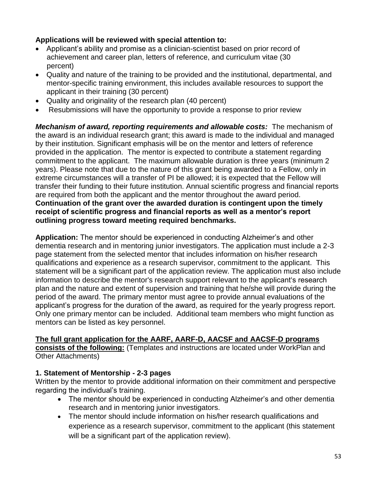## **Applications will be reviewed with special attention to:**

- Applicant's ability and promise as a clinician-scientist based on prior record of achievement and career plan, letters of reference, and curriculum vitae (30 percent)
- Quality and nature of the training to be provided and the institutional, departmental, and mentor-specific training environment, this includes available resources to support the applicant in their training (30 percent)
- Quality and originality of the research plan (40 percent)
- Resubmissions will have the opportunity to provide a response to prior review

*Mechanism of award, reporting requirements and allowable costs:* The mechanism of the award is an individual research grant; this award is made to the individual and managed by their institution. Significant emphasis will be on the mentor and letters of reference provided in the application. The mentor is expected to contribute a statement regarding commitment to the applicant. The maximum allowable duration is three years (minimum 2 years). Please note that due to the nature of this grant being awarded to a Fellow, only in extreme circumstances will a transfer of PI be allowed; it is expected that the Fellow will transfer their funding to their future institution. Annual scientific progress and financial reports are required from both the applicant and the mentor throughout the award period. **Continuation of the grant over the awarded duration is contingent upon the timely receipt of scientific progress and financial reports as well as a mentor's report outlining progress toward meeting required benchmarks.**

**Application:** The mentor should be experienced in conducting Alzheimer's and other dementia research and in mentoring junior investigators. The application must include a 2-3 page statement from the selected mentor that includes information on his/her research qualifications and experience as a research supervisor, commitment to the applicant. This statement will be a significant part of the application review. The application must also include information to describe the mentor's research support relevant to the applicant's research plan and the nature and extent of supervision and training that he/she will provide during the period of the award. The primary mentor must agree to provide annual evaluations of the applicant's progress for the duration of the award, as required for the yearly progress report. Only one primary mentor can be included. Additional team members who might function as mentors can be listed as key personnel.

#### **The full grant application for the AARF, AARF-D, AACSF and AACSF-D programs consists of the following:** (Templates and instructions are located under WorkPlan and Other Attachments)

## **1. Statement of Mentorship - 2-3 pages**

Written by the mentor to provide additional information on their commitment and perspective regarding the individual's training.

- The mentor should be experienced in conducting Alzheimer's and other dementia research and in mentoring junior investigators.
- The mentor should include information on his/her research qualifications and experience as a research supervisor, commitment to the applicant (this statement will be a significant part of the application review).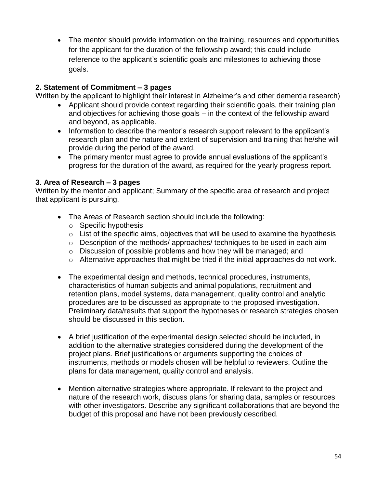The mentor should provide information on the training, resources and opportunities for the applicant for the duration of the fellowship award; this could include reference to the applicant's scientific goals and milestones to achieving those goals.

#### **2. Statement of Commitment – 3 pages**

Written by the applicant to highlight their interest in Alzheimer's and other dementia research)

- Applicant should provide context regarding their scientific goals, their training plan and objectives for achieving those goals – in the context of the fellowship award and beyond, as applicable.
- Information to describe the mentor's research support relevant to the applicant's research plan and the nature and extent of supervision and training that he/she will provide during the period of the award.
- The primary mentor must agree to provide annual evaluations of the applicant's progress for the duration of the award, as required for the yearly progress report.

#### **3**. **Area of Research – 3 pages**

Written by the mentor and applicant; Summary of the specific area of research and project that applicant is pursuing.

- The Areas of Research section should include the following:
	- o Specific hypothesis
	- $\circ$  List of the specific aims, objectives that will be used to examine the hypothesis
	- o Description of the methods/ approaches/ techniques to be used in each aim
	- $\circ$  Discussion of possible problems and how they will be managed; and
	- o Alternative approaches that might be tried if the initial approaches do not work.
- The experimental design and methods, technical procedures, instruments, characteristics of human subjects and animal populations, recruitment and retention plans, model systems, data management, quality control and analytic procedures are to be discussed as appropriate to the proposed investigation. Preliminary data/results that support the hypotheses or research strategies chosen should be discussed in this section.
- A brief justification of the experimental design selected should be included, in addition to the alternative strategies considered during the development of the project plans. Brief justifications or arguments supporting the choices of instruments, methods or models chosen will be helpful to reviewers. Outline the plans for data management, quality control and analysis.
- Mention alternative strategies where appropriate. If relevant to the project and nature of the research work, discuss plans for sharing data, samples or resources with other investigators. Describe any significant collaborations that are beyond the budget of this proposal and have not been previously described.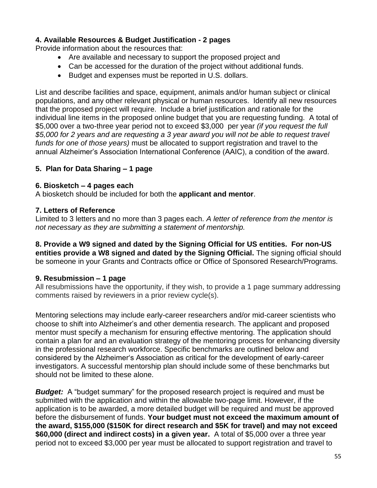## **4. Available Resources & Budget Justification - 2 pages**

Provide information about the resources that:

- Are available and necessary to support the proposed project and
- Can be accessed for the duration of the project without additional funds.
- Budget and expenses must be reported in U.S. dollars.

List and describe facilities and space, equipment, animals and/or human subject or clinical populations, and any other relevant physical or human resources. Identify all new resources that the proposed project will require. Include a brief justification and rationale for the individual line items in the proposed online budget that you are requesting funding. A total of \$5,000 over a two-three year period not to exceed \$3,000 per year *(if you request the full \$5,000 for 2 years and are requesting a 3 year award you will not be able to request travel funds for one of those years)* must be allocated to support registration and travel to the annual Alzheimer's Association International Conference (AAIC), a condition of the award.

#### **5. Plan for Data Sharing – 1 page**

#### **6. Biosketch – 4 pages each**

A biosketch should be included for both the **applicant and mentor**.

#### **7. Letters of Reference**

Limited to 3 letters and no more than 3 pages each. *A letter of reference from the mentor is not necessary as they are submitting a statement of mentorship.*

**8. Provide a W9 signed and dated by the Signing Official for US entities. For non-US entities provide a W8 signed and dated by the Signing Official.** The signing official should be someone in your Grants and Contracts office or Office of Sponsored Research/Programs.

#### **9. Resubmission – 1 page**

All resubmissions have the opportunity, if they wish, to provide a 1 page summary addressing comments raised by reviewers in a prior review cycle(s).

Mentoring selections may include early-career researchers and/or mid-career scientists who choose to shift into Alzheimer's and other dementia research. The applicant and proposed mentor must specify a mechanism for ensuring effective mentoring. The application should contain a plan for and an evaluation strategy of the mentoring process for enhancing diversity in the professional research workforce. Specific benchmarks are outlined below and considered by the Alzheimer's Association as critical for the development of early-career investigators. A successful mentorship plan should include some of these benchmarks but should not be limited to these alone.

*Budget:* A "budget summary" for the proposed research project is required and must be submitted with the application and within the allowable two-page limit. However, if the application is to be awarded, a more detailed budget will be required and must be approved before the disbursement of funds. **Your budget must not exceed the maximum amount of the award, \$155,000 (\$150K for direct research and \$5K for travel) and may not exceed \$60,000 (direct and indirect costs) in a given year.** A total of \$5,000 over a three year period not to exceed \$3,000 per year must be allocated to support registration and travel to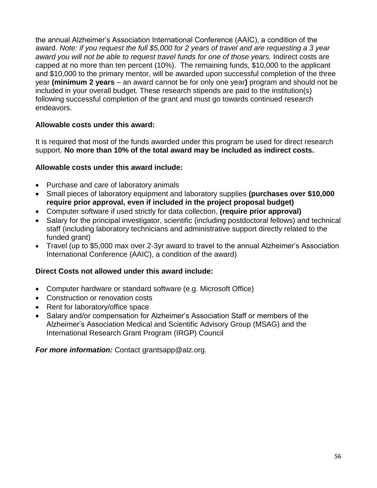the annual Alzheimer's Association International Conference (AAIC), a condition of the award. *Note: if you request the full \$5,000 for 2 years of travel and are requesting a 3 year award you will not be able to request travel funds for one of those years.* Indirect costs are capped at no more than ten percent (10%). The remaining funds, \$10,000 to the applicant and \$10,000 to the primary mentor, will be awarded upon successful completion of the three year **(minimum 2 years** – an award cannot be for only one year**)** program and should not be included in your overall budget. These research stipends are paid to the institution(s) following successful completion of the grant and must go towards continued research endeavors.

## **Allowable costs under this award:**

It is required that most of the funds awarded under this program be used for direct research support. **No more than 10% of the total award may be included as indirect costs.**

## **Allowable costs under this award include:**

- Purchase and care of laboratory animals
- Small pieces of laboratory equipment and laboratory supplies **(purchases over \$10,000 require prior approval, even if included in the project proposal budget)**
- Computer software if used strictly for data collection, **(require prior approval)**
- Salary for the principal investigator, scientific (including postdoctoral fellows) and technical staff (including laboratory technicians and administrative support directly related to the funded grant)
- Travel (up to \$5,000 max over 2-3yr award to travel to the annual Alzheimer's Association International Conference (AAIC), a condition of the award)

## **Direct Costs not allowed under this award include:**

- Computer hardware or standard software (e.g. Microsoft Office)
- Construction or renovation costs
- Rent for laboratory/office space
- Salary and/or compensation for Alzheimer's Association Staff or members of the Alzheimer's Association Medical and Scientific Advisory Group (MSAG) and the International Research Grant Program (IRGP) Council

*For more information:* Contact [grantsapp@alz.org.](mailto:grantsapp@alz.org)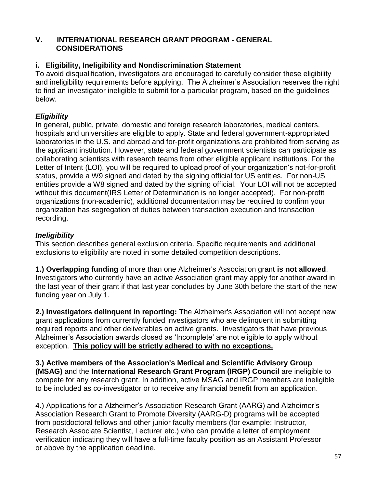#### **V. INTERNATIONAL RESEARCH GRANT PROGRAM - GENERAL CONSIDERATIONS**

## **i. Eligibility, Ineligibility and Nondiscrimination Statement**

To avoid disqualification, investigators are encouraged to carefully consider these eligibility and ineligibility requirements before applying. The Alzheimer's Association reserves the right to find an investigator ineligible to submit for a particular program, based on the guidelines below.

## *Eligibility*

In general, public, private, domestic and foreign research laboratories, medical centers, hospitals and universities are eligible to apply. State and federal government-appropriated laboratories in the U.S. and abroad and for-profit organizations are prohibited from serving as the applicant institution. However, state and federal government scientists can participate as collaborating scientists with research teams from other eligible applicant institutions. For the Letter of Intent (LOI), you will be required to upload proof of your organization's not-for-profit status, provide a W9 signed and dated by the signing official for US entities. For non-US entities provide a W8 signed and dated by the signing official. Your LOI will not be accepted without this document(IRS Letter of Determination is no longer accepted). For non-profit organizations (non-academic), additional documentation may be required to confirm your organization has segregation of duties between transaction execution and transaction recording.

## *Ineligibility*

This section describes general exclusion criteria. Specific requirements and additional exclusions to eligibility are noted in some detailed competition descriptions.

**1.) Overlapping funding** of more than one Alzheimer's Association grant **is not allowed**. Investigators who currently have an active Association grant may apply for another award in the last year of their grant if that last year concludes by June 30th before the start of the new funding year on July 1.

**2.) Investigators delinquent in reporting:** The Alzheimer's Association will not accept new grant applications from currently funded investigators who are delinquent in submitting required reports and other deliverables on active grants. Investigators that have previous Alzheimer's Association awards closed as 'Incomplete' are not eligible to apply without exception. **This policy will be strictly adhered to with no exceptions.**

**3.) Active members of the Association's Medical and Scientific Advisory Group (MSAG)** and the **International Research Grant Program (IRGP) Council** are ineligible to compete for any research grant. In addition, active MSAG and IRGP members are ineligible to be included as co-investigator or to receive any financial benefit from an application.

4.) Applications for a Alzheimer's Association Research Grant (AARG) and Alzheimer's Association Research Grant to Promote Diversity (AARG-D) programs will be accepted from postdoctoral fellows and other junior faculty members (for example: Instructor, Research Associate Scientist, Lecturer etc.) who can provide a letter of employment verification indicating they will have a full-time faculty position as an Assistant Professor or above by the application deadline.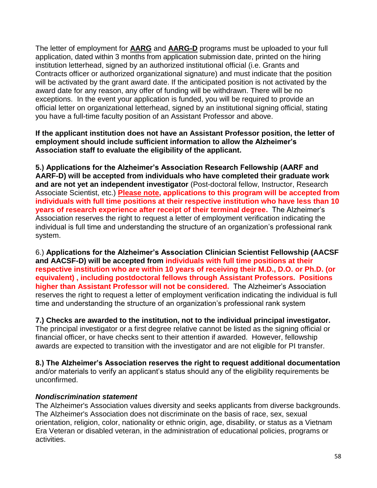The letter of employment for **AARG** and **AARG-D** programs must be uploaded to your full application, dated within 3 months from application submission date, printed on the hiring institution letterhead, signed by an authorized institutional official (i.e. Grants and Contracts officer or authorized organizational signature) and must indicate that the position will be activated by the grant award date. If the anticipated position is not activated by the award date for any reason, any offer of funding will be withdrawn. There will be no exceptions. In the event your application is funded, you will be required to provide an official letter on organizational letterhead, signed by an institutional signing official, stating you have a full-time faculty position of an Assistant Professor and above.

**If the applicant institution does not have an Assistant Professor position, the letter of employment should include sufficient information to allow the Alzheimer's Association staff to evaluate the eligibility of the applicant.**

**5.) Applications for the Alzheimer's Association Research Fellowship (AARF and AARF-D) will be accepted from individuals who have completed their graduate work and are not yet an independent investigator** (Post-doctoral fellow, Instructor, Research Associate Scientist, etc.) **Please note, applications to this program will be accepted from individuals with full time positions at their respective institution who have less than 10 years of research experience after receipt of their terminal degree.** The Alzheimer's Association reserves the right to request a letter of employment verification indicating the individual is full time and understanding the structure of an organization's professional rank system.

6.) **Applications for the Alzheimer's Association Clinician Scientist Fellowship (AACSF and AACSF-D) will be accepted from individuals with full time positions at their respective institution who are within 10 years of receiving their M.D., D.O. or Ph.D. (or equivalent) , including postdoctoral fellows through Assistant Professors. Positions higher than Assistant Professor will not be considered.** The Alzheimer's Association reserves the right to request a letter of employment verification indicating the individual is full time and understanding the structure of an organization's professional rank system

**7.) Checks are awarded to the institution, not to the individual principal investigator.**  The principal investigator or a first degree relative cannot be listed as the signing official or financial officer, or have checks sent to their attention if awarded. However, fellowship awards are expected to transition with the investigator and are not eligible for PI transfer.

**8.) The Alzheimer's Association reserves the right to request additional documentation** and/or materials to verify an applicant's status should any of the eligibility requirements be unconfirmed.

#### *Nondiscrimination statement*

The Alzheimer's Association values diversity and seeks applicants from diverse backgrounds. The Alzheimer's Association does not discriminate on the basis of race, sex, sexual orientation, religion, color, nationality or ethnic origin, age, disability, or status as a Vietnam Era Veteran or disabled veteran, in the administration of educational policies, programs or activities.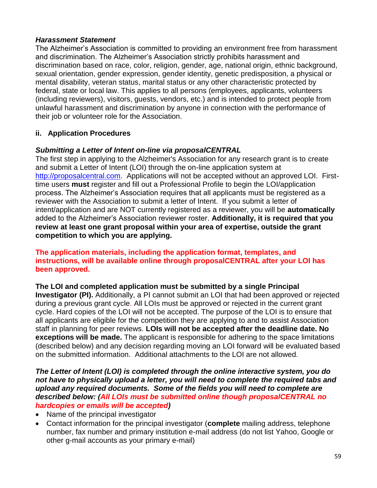#### *Harassment Statement*

The Alzheimer's Association is committed to providing an environment free from harassment and discrimination. The Alzheimer's Association strictly prohibits harassment and discrimination based on race, color, religion, gender, age, national origin, ethnic background, sexual orientation, gender expression, gender identity, genetic predisposition, a physical or mental disability, veteran status, marital status or any other characteristic protected by federal, state or local law. This applies to all persons (employees, applicants, volunteers (including reviewers), visitors, guests, vendors, etc.) and is intended to protect people from unlawful harassment and discrimination by anyone in connection with the performance of their job or volunteer role for the Association.

## **ii. Application Procedures**

## *Submitting a Letter of Intent on-line via proposalCENTRAL*

The first step in applying to the Alzheimer's Association for any research grant is to create and submit a Letter of Intent (LOI) through the on-line application system at [http://proposalcentral.com.](http://proposalcentral.com/) Applications will not be accepted without an approved LOI. Firsttime users **must** register and fill out a Professional Profile to begin the LOI/application process. The Alzheimer's Association requires that all applicants must be registered as a reviewer with the Association to submit a letter of Intent. If you submit a letter of intent/application and are NOT currently registered as a reviewer, you will be **automatically** added to the Alzheimer's Association reviewer roster. **Additionally, it is required that you review at least one grant proposal within your area of expertise, outside the grant competition to which you are applying.** 

**The application materials, including the application format, templates, and instructions, will be available online through proposalCENTRAL after your LOI has been approved.** 

## **The LOI and completed application must be submitted by a single Principal**

**Investigator (PI).** Additionally, a PI cannot submit an LOI that had been approved or rejected during a previous grant cycle. All LOIs must be approved or rejected in the current grant cycle. Hard copies of the LOI will not be accepted. The purpose of the LOI is to ensure that all applicants are eligible for the competition they are applying to and to assist Association staff in planning for peer reviews. **LOIs will not be accepted after the deadline date. No exceptions will be made.** The applicant is responsible for adhering to the space limitations (described below) and any decision regarding moving an LOI forward will be evaluated based on the submitted information. Additional attachments to the LOI are not allowed.

*The Letter of Intent (LOI) is completed through the online interactive system, you do not have to physically upload a letter, you will need to complete the required tabs and upload any required documents. Some of the fields you will need to complete are described below: (All LOIs must be submitted online though proposalCENTRAL no hardcopies or emails will be accepted)*

- Name of the principal investigator
- Contact information for the principal investigator (**complete** mailing address, telephone number, fax number and primary institution e-mail address (do not list Yahoo, Google or other g-mail accounts as your primary e-mail)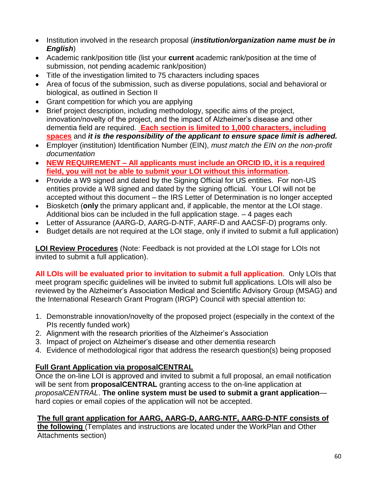- Institution involved in the research proposal (*institution/organization name must be in English*)
- Academic rank/position title (list your **current** academic rank/position at the time of submission, not pending academic rank/position)
- Title of the investigation limited to 75 characters including spaces
- Area of focus of the submission, such as diverse populations, social and behavioral or biological, as outlined in Section II
- Grant competition for which you are applying
- Brief project description, including methodology, specific aims of the project, innovation/novelty of the project, and the impact of Alzheimer's disease and other dementia field are required. **Each section is limited to 1,000 characters, including spaces** and *it is the responsibility of the applicant to ensure space limit is adhered.*
- Employer (institution) Identification Number (EIN), *must match the EIN on the non-profit documentation*
- **NEW REQUIREMENT – All applicants must include an ORCID ID, it is a required field, you will not be able to submit your LOI without this information**.
- Provide a W9 signed and dated by the Signing Official for US entities. For non-US entities provide a W8 signed and dated by the signing official. Your LOI will not be accepted without this document – the IRS Letter of Determination is no longer accepted
- Biosketch (**only** the primary applicant and, if applicable, the mentor at the LOI stage. Additional bios can be included in the full application stage. – 4 pages each
- Letter of Assurance (AARG-D, AARG-D-NTF, AARF-D and AACSF-D) programs only.
- Budget details are not required at the LOI stage, only if invited to submit a full application)

**LOI Review Procedures** (Note: Feedback is not provided at the LOI stage for LOIs not invited to submit a full application).

**All LOIs will be evaluated prior to invitation to submit a full application**. Only LOIs that meet program specific guidelines will be invited to submit full applications. LOIs will also be reviewed by the Alzheimer's Association Medical and Scientific Advisory Group (MSAG) and the International Research Grant Program (IRGP) Council with special attention to:

- 1. Demonstrable innovation/novelty of the proposed project (especially in the context of the PIs recently funded work)
- 2. Alignment with the research priorities of the Alzheimer's Association
- 3. Impact of project on Alzheimer's disease and other dementia research
- 4. Evidence of methodological rigor that address the research question(s) being proposed

## **Full Grant Application via proposalCENTRAL**

Once the on-line LOI is approved and invited to submit a full proposal, an email notification will be sent from **proposalCENTRAL** granting access to the on-line application at *proposalCENTRAL*. **The online system must be used to submit a grant application** hard copies or email copies of the application will not be accepted.

## **The full grant application for AARG, AARG-D, AARG-NTF, AARG-D-NTF consists of**

**the following** (Templates and instructions are located under the WorkPlan and Other Attachments section)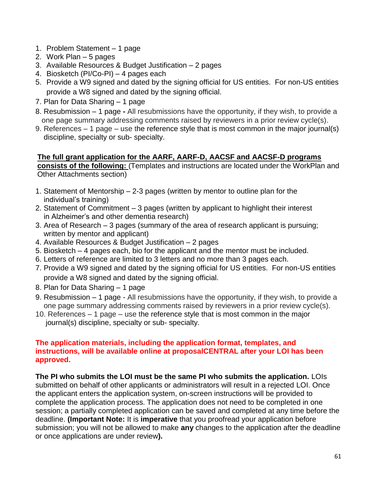- 1. Problem Statement 1 page
- 2. Work Plan 5 pages
- 3. Available Resources & Budget Justification 2 pages
- 4. Biosketch (PI/Co-PI) 4 pages each
- 5. Provide a W9 signed and dated by the signing official for US entities. For non-US entities provide a W8 signed and dated by the signing official.
- 7. Plan for Data Sharing 1 page
- 8. Resubmission 1 page **-** All resubmissions have the opportunity, if they wish, to provide a one page summary addressing comments raised by reviewers in a prior review cycle(s).
- 9. References 1 page use the reference style that is most common in the major journal(s) discipline, specialty or sub- specialty.

#### **The full grant application for the AARF, AARF-D, AACSF and AACSF-D programs**

**consists of the following:** (Templates and instructions are located under the WorkPlan and Other Attachments section)

- 1. Statement of Mentorship 2-3 pages (written by mentor to outline plan for the individual's training)
- 2. Statement of Commitment 3 pages (written by applicant to highlight their interest in Alzheimer's and other dementia research)
- 3. Area of Research 3 pages (summary of the area of research applicant is pursuing; written by mentor and applicant)
- 4. Available Resources & Budget Justification 2 pages
- 5. Biosketch 4 pages each, bio for the applicant and the mentor must be included.
- 6. Letters of reference are limited to 3 letters and no more than 3 pages each.
- 7. Provide a W9 signed and dated by the signing official for US entities. For non-US entities provide a W8 signed and dated by the signing official.
- 8. Plan for Data Sharing 1 page
- 9. Resubmission 1 page All resubmissions have the opportunity, if they wish, to provide a one page summary addressing comments raised by reviewers in a prior review cycle(s).
- 10. References 1 page use the reference style that is most common in the major journal(s) discipline, specialty or sub- specialty.

#### **The application materials, including the application format, templates, and instructions, will be available online at proposalCENTRAL after your LOI has been approved.**

**The PI who submits the LOI must be the same PI who submits the application.** LOIs submitted on behalf of other applicants or administrators will result in a rejected LOI. Once the applicant enters the application system, on-screen instructions will be provided to complete the application process. The application does not need to be completed in one session; a partially completed application can be saved and completed at any time before the deadline. **(Important Note:** It is **imperative** that you proofread your application before submission; you will not be allowed to make **any** changes to the application after the deadline or once applications are under review**).**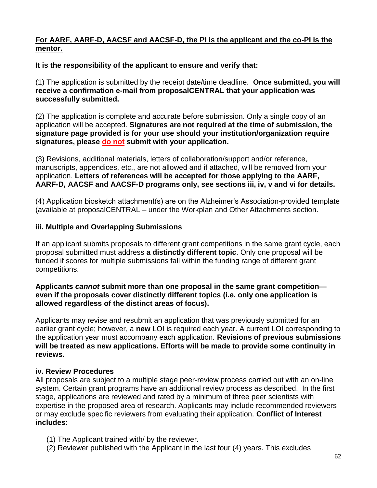#### **For AARF, AARF-D, AACSF and AACSF-D, the PI is the applicant and the co-PI is the mentor.**

#### **It is the responsibility of the applicant to ensure and verify that:**

(1) The application is submitted by the receipt date/time deadline. **Once submitted, you will receive a confirmation e-mail from proposalCENTRAL that your application was successfully submitted.** 

(2) The application is complete and accurate before submission. Only a single copy of an application will be accepted. **Signatures are not required at the time of submission, the signature page provided is for your use should your institution/organization require signatures, please do not submit with your application.** 

(3) Revisions, additional materials, letters of collaboration/support and/or reference, manuscripts, appendices, etc., are not allowed and if attached, will be removed from your application. **Letters of references will be accepted for those applying to the AARF, AARF-D, AACSF and AACSF-D programs only, see sections iii, iv, v and vi for details.**

(4) Application biosketch attachment(s) are on the Alzheimer's Association-provided template (available at proposalCENTRAL – under the Workplan and Other Attachments section.

#### **iii. Multiple and Overlapping Submissions**

If an applicant submits proposals to different grant competitions in the same grant cycle, each proposal submitted must address **a distinctly different topic**. Only one proposal will be funded if scores for multiple submissions fall within the funding range of different grant competitions.

#### **Applicants** *cannot* **submit more than one proposal in the same grant competition even if the proposals cover distinctly different topics (i.e. only one application is allowed regardless of the distinct areas of focus).**

Applicants may revise and resubmit an application that was previously submitted for an earlier grant cycle; however, a **new** LOI is required each year. A current LOI corresponding to the application year must accompany each application. **Revisions of previous submissions will be treated as new applications. Efforts will be made to provide some continuity in reviews.**

#### **iv. Review Procedures**

All proposals are subject to a multiple stage peer-review process carried out with an on-line system. Certain grant programs have an additional review process as described. In the first stage, applications are reviewed and rated by a minimum of three peer scientists with expertise in the proposed area of research. Applicants may include recommended reviewers or may exclude specific reviewers from evaluating their application. **Conflict of Interest includes:**

- (1) The Applicant trained with/ by the reviewer.
- (2) Reviewer published with the Applicant in the last four (4) years. This excludes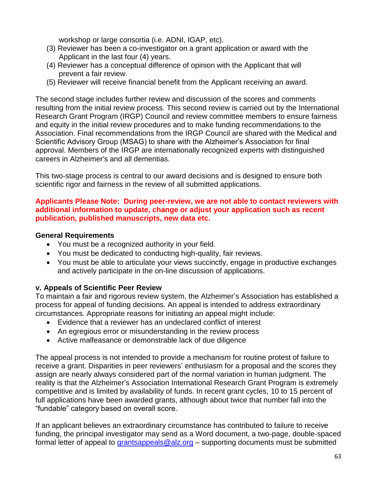workshop or large consortia (i.e. ADNI, IGAP, etc).

- (3) Reviewer has been a co-investigator on a grant application or award with the Applicant in the last four (4) years.
- (4) Reviewer has a conceptual difference of opinion with the Applicant that will prevent a fair review.
- (5) Reviewer will receive financial benefit from the Applicant receiving an award.

The second stage includes further review and discussion of the scores and comments resulting from the initial review process. This second review is carried out by the International Research Grant Program (IRGP) Council and review committee members to ensure fairness and equity in the initial review procedures and to make funding recommendations to the Association. Final recommendations from the IRGP Council are shared with the Medical and Scientific Advisory Group (MSAG) to share with the Alzheimer's Association for final approval. Members of the IRGP are internationally recognized experts with distinguished careers in Alzheimer's and all dementias.

This two-stage process is central to our award decisions and is designed to ensure both scientific rigor and fairness in the review of all submitted applications.

#### **Applicants Please Note: During peer-review, we are not able to contact reviewers with additional information to update, change or adjust your application such as recent publication, published manuscripts, new data etc.**

#### **General Requirements**

- You must be a recognized authority in your field.
- You must be dedicated to conducting high-quality, fair reviews.
- You must be able to articulate your views succinctly, engage in productive exchanges and actively participate in the on-line discussion of applications.

## **v. Appeals of Scientific Peer Review**

To maintain a fair and rigorous review system, the Alzheimer's Association has established a process for appeal of funding decisions. An appeal is intended to address extraordinary circumstances. Appropriate reasons for initiating an appeal might include:

- Evidence that a reviewer has an undeclared conflict of interest
- An egregious error or misunderstanding in the review process
- Active malfeasance or demonstrable lack of due diligence

The appeal process is not intended to provide a mechanism for routine protest of failure to receive a grant. Disparities in peer reviewers' enthusiasm for a proposal and the scores they assign are nearly always considered part of the normal variation in human judgment. The reality is that the Alzheimer's Association International Research Grant Program is extremely competitive and is limited by availability of funds. In recent grant cycles, 10 to 15 percent of full applications have been awarded grants, although about twice that number fall into the "fundable" category based on overall score.

If an applicant believes an extraordinary circumstance has contributed to failure to receive funding, the principal investigator may send as a Word document, a two-page, double-spaced formal letter of appeal to grantsappeals  $@$  alz.org  $-$  supporting documents must be submitted